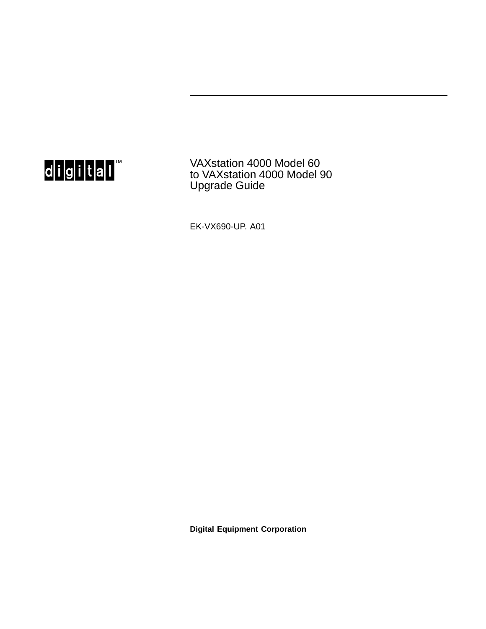

VAXstation 4000 Model 60 to VAXstation 4000 Model 90 Upgrade Guide

EK-VX690-UP. A01

**Digital Equipment Corporation**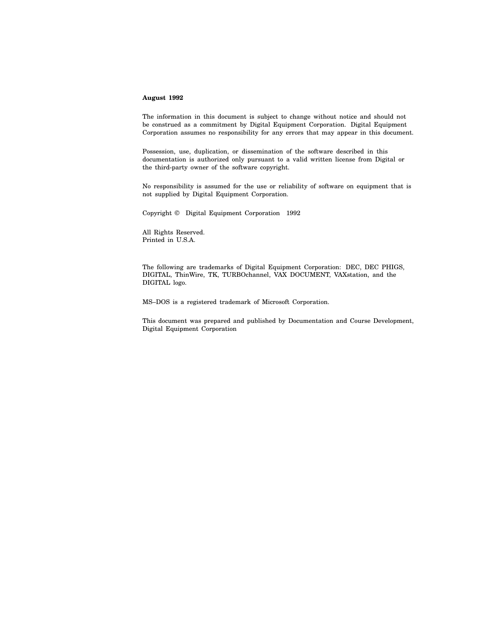#### **August 1992**

The information in this document is subject to change without notice and should not be construed as a commitment by Digital Equipment Corporation. Digital Equipment Corporation assumes no responsibility for any errors that may appear in this document.

Possession, use, duplication, or dissemination of the software described in this documentation is authorized only pursuant to a valid written license from Digital or the third-party owner of the software copyright.

No responsibility is assumed for the use or reliability of software on equipment that is not supplied by Digital Equipment Corporation.

Copyright © Digital Equipment Corporation 1992

All Rights Reserved. Printed in U.S.A.

The following are trademarks of Digital Equipment Corporation: DEC, DEC PHIGS, DIGITAL, ThinWire, TK, TURBOchannel, VAX DOCUMENT, VAXstation, and the DIGITAL logo.

MS–DOS is a registered trademark of Microsoft Corporation.

This document was prepared and published by Documentation and Course Development, Digital Equipment Corporation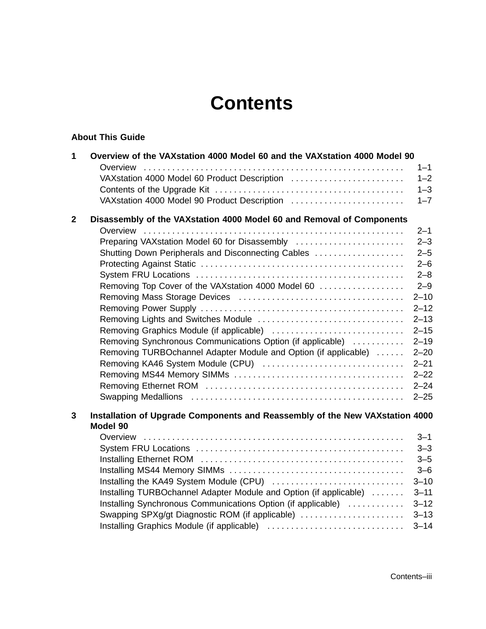# **Contents**

#### **About This Guide**

| $\mathbf{1}$ | Overview of the VAXstation 4000 Model 60 and the VAXstation 4000 Model 90                | $1 - 1$            |
|--------------|------------------------------------------------------------------------------------------|--------------------|
|              | VAXstation 4000 Model 60 Product Description                                             | $1 - 2$            |
|              |                                                                                          | $1 - 3$            |
|              | VAXstation 4000 Model 90 Product Description                                             | $1 - 7$            |
| $\mathbf{2}$ | Disassembly of the VAXstation 4000 Model 60 and Removal of Components                    |                    |
|              |                                                                                          | $2 - 1$            |
|              | Preparing VAXstation Model 60 for Disassembly                                            | $2 - 3$            |
|              | Shutting Down Peripherals and Disconnecting Cables                                       | $2 - 5$            |
|              |                                                                                          | $2 - 6$            |
|              |                                                                                          | $2 - 8$<br>$2 - 9$ |
|              | Removing Top Cover of the VAXstation 4000 Model 60                                       | $2 - 10$           |
|              |                                                                                          | $2 - 12$           |
|              |                                                                                          | $2 - 13$           |
|              |                                                                                          | $2 - 15$           |
|              | Removing Synchronous Communications Option (if applicable)                               | $2 - 19$           |
|              | Removing TURBOchannel Adapter Module and Option (if applicable)                          | $2 - 20$           |
|              | Removing KA46 System Module (CPU)                                                        | $2 - 21$           |
|              |                                                                                          | $2 - 22$           |
|              |                                                                                          | $2 - 24$           |
|              |                                                                                          | $2 - 25$           |
| 3            | Installation of Upgrade Components and Reassembly of the New VAXstation 4000<br>Model 90 |                    |
|              |                                                                                          | $3 - 1$            |
|              |                                                                                          | $3 - 3$            |
|              |                                                                                          | $3 - 5$            |
|              |                                                                                          | $3 - 6$            |
|              |                                                                                          | $3 - 10$           |
|              | Installing TURBOchannel Adapter Module and Option (if applicable)                        | $3 - 11$           |
|              | Installing Synchronous Communications Option (if applicable)                             | $3 - 12$           |
|              | Swapping SPXg/gt Diagnostic ROM (if applicable)                                          | $3 - 13$           |
|              |                                                                                          | $3 - 14$           |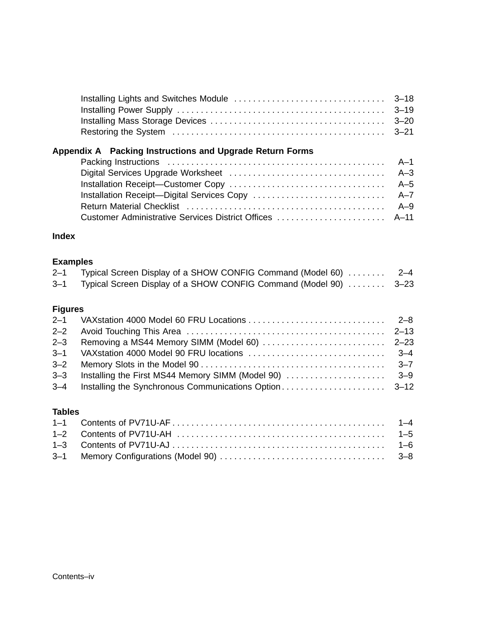| Appendix A Packing Instructions and Upgrade Return Forms |  |
|----------------------------------------------------------|--|
|                                                          |  |
|                                                          |  |
|                                                          |  |

#### Installation Receipt—Digital Services Copy . . . . . . . . . . . . . . . . . . . . . . . . . . . . A–7 Return Material Checklist . . . . . . . . . . . . . . . . . . . . . . . . . . . . . . . . . . . . . . . . . . A–9 Customer Administrative Services District Offices . . . . . . . . . . . . . . . . . . . . . . . A–11

#### **Index**

#### **Examples**

| $2 - 1$ | Typical Screen Display of a SHOW CONFIG Command (Model 60)       | $2 - 4$ |
|---------|------------------------------------------------------------------|---------|
| $3 - 1$ | Typical Screen Display of a SHOW CONFIG Command (Model 90)  3–23 |         |

#### **Figures**

#### **Tables**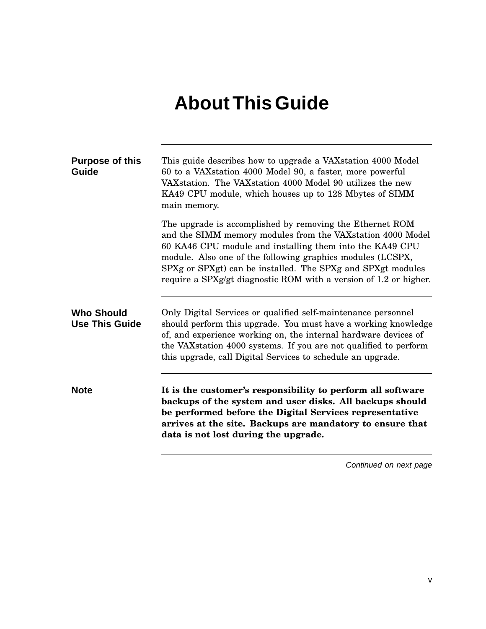# **About This Guide**

| <b>Purpose of this</b><br>Guide            | This guide describes how to upgrade a VAX station 4000 Model<br>60 to a VAXstation 4000 Model 90, a faster, more powerful<br>VAX station. The VAX station 4000 Model 90 utilizes the new<br>KA49 CPU module, which houses up to 128 Mbytes of SIMM<br>main memory.                                                                                                                    |
|--------------------------------------------|---------------------------------------------------------------------------------------------------------------------------------------------------------------------------------------------------------------------------------------------------------------------------------------------------------------------------------------------------------------------------------------|
|                                            | The upgrade is accomplished by removing the Ethernet ROM<br>and the SIMM memory modules from the VAX station 4000 Model<br>60 KA46 CPU module and installing them into the KA49 CPU<br>module. Also one of the following graphics modules (LCSPX,<br>SPXg or SPXgt) can be installed. The SPXg and SPXgt modules<br>require a SPXg/gt diagnostic ROM with a version of 1.2 or higher. |
| <b>Who Should</b><br><b>Use This Guide</b> | Only Digital Services or qualified self-maintenance personnel<br>should perform this upgrade. You must have a working knowledge<br>of, and experience working on, the internal hardware devices of<br>the VAX station 4000 systems. If you are not qualified to perform<br>this upgrade, call Digital Services to schedule an upgrade.                                                |
| <b>Note</b>                                | It is the customer's responsibility to perform all software<br>backups of the system and user disks. All backups should<br>be performed before the Digital Services representative<br>arrives at the site. Backups are mandatory to ensure that<br>data is not lost during the upgrade.                                                                                               |
|                                            | Continued on next page                                                                                                                                                                                                                                                                                                                                                                |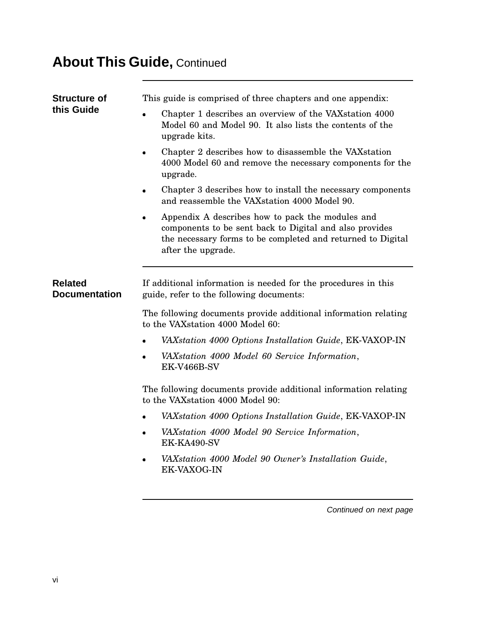## **About This Guide,** Continued

| <b>Structure of</b>                    | This guide is comprised of three chapters and one appendix:                                                                                                                                      |
|----------------------------------------|--------------------------------------------------------------------------------------------------------------------------------------------------------------------------------------------------|
| this Guide                             | Chapter 1 describes an overview of the VAX station 4000<br>Model 60 and Model 90. It also lists the contents of the<br>upgrade kits.                                                             |
|                                        | Chapter 2 describes how to disassemble the VAX station<br>4000 Model 60 and remove the necessary components for the<br>upgrade.                                                                  |
|                                        | Chapter 3 describes how to install the necessary components<br>and reassemble the VAX station 4000 Model 90.                                                                                     |
|                                        | Appendix A describes how to pack the modules and<br>components to be sent back to Digital and also provides<br>the necessary forms to be completed and returned to Digital<br>after the upgrade. |
| <b>Related</b><br><b>Documentation</b> | If additional information is needed for the procedures in this<br>guide, refer to the following documents:                                                                                       |
|                                        | The following documents provide additional information relating<br>to the VAXstation 4000 Model 60:                                                                                              |
|                                        | VAXstation 4000 Options Installation Guide, EK-VAXOP-IN                                                                                                                                          |
|                                        | VAXstation 4000 Model 60 Service Information,<br>EK-V466B-SV                                                                                                                                     |
|                                        | The following documents provide additional information relating<br>to the VAXstation 4000 Model 90:                                                                                              |
|                                        | VAXstation 4000 Options Installation Guide, EK-VAXOP-IN                                                                                                                                          |
|                                        | VAXstation 4000 Model 90 Service Information,<br>EK-KA490-SV                                                                                                                                     |
|                                        | VAXstation 4000 Model 90 Owner's Installation Guide,<br>EK-VAXOG-IN                                                                                                                              |
|                                        |                                                                                                                                                                                                  |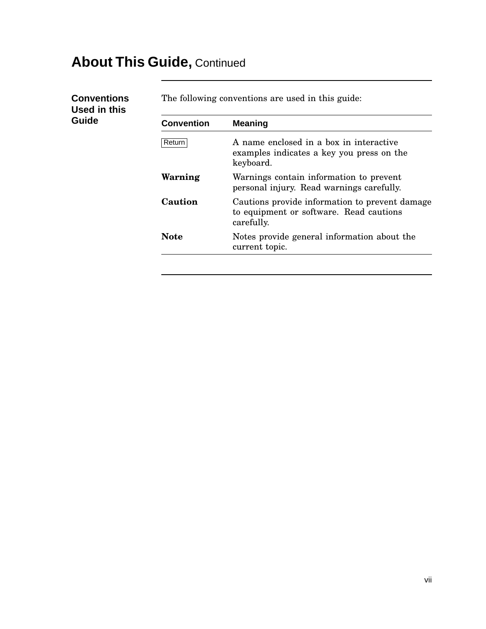## **About This Guide,** Continued

**Conventions Used in this Guide**

The following conventions are used in this guide:

| <b>Convention</b> | <b>Meaning</b>                                                                                          |  |  |
|-------------------|---------------------------------------------------------------------------------------------------------|--|--|
| Return            | A name enclosed in a box in interactive<br>examples indicates a key you press on the<br>keyboard.       |  |  |
| Warning           | Warnings contain information to prevent<br>personal injury. Read warnings carefully.                    |  |  |
| Caution           | Cautions provide information to prevent damage<br>to equipment or software. Read cautions<br>carefully. |  |  |
| Note              | Notes provide general information about the<br>current topic.                                           |  |  |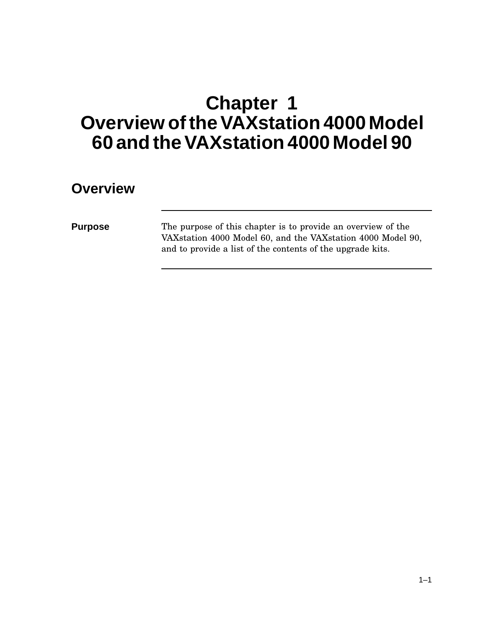# **Chapter 1 OverviewoftheVAXstation 4000 Model 60 and theVAXstation 4000 Model 90**

#### **Overview**

**Purpose** The purpose of this chapter is to provide an overview of the VAXstation 4000 Model 60, and the VAXstation 4000 Model 90, and to provide a list of the contents of the upgrade kits.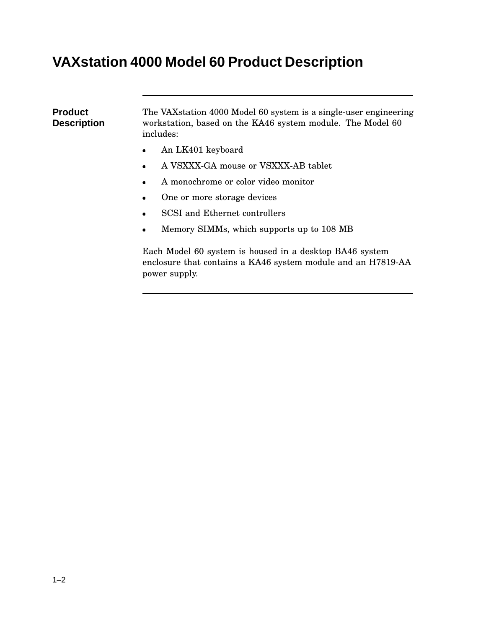## **VAXstation 4000 Model 60 Product Description**

power supply.

**Product Description** The VAXstation 4000 Model 60 system is a single-user engineering workstation, based on the KA46 system module. The Model 60 includes: An LK401 keyboard A VSXXX-GA mouse or VSXXX-AB tablet A monochrome or color video monitor One or more storage devices SCSI and Ethernet controllers Memory SIMMs, which supports up to 108 MB Each Model 60 system is housed in a desktop BA46 system

enclosure that contains a KA46 system module and an H7819-AA

 $1 - 2$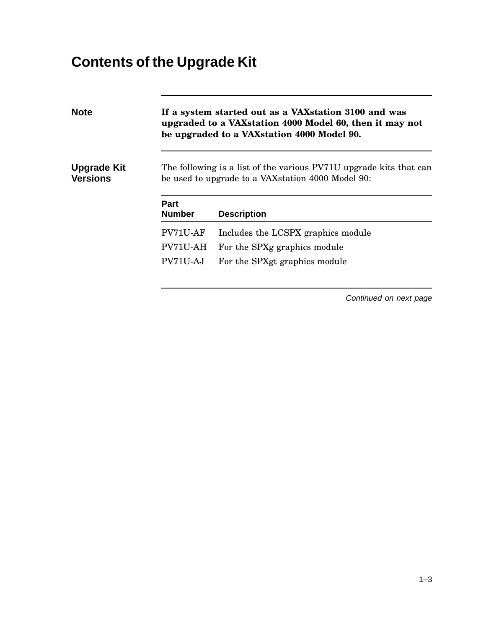# **Contents of the Upgrade Kit**

| <b>Note</b>                           |                              | If a system started out as a VAX station 3100 and was<br>upgraded to a VAX station 4000 Model 60, then it may not<br>be upgraded to a VAX station 4000 Model 90. |
|---------------------------------------|------------------------------|------------------------------------------------------------------------------------------------------------------------------------------------------------------|
| <b>Upgrade Kit</b><br><b>Versions</b> |                              | The following is a list of the various PV71U upgrade kits that can<br>be used to upgrade to a VAX station 4000 Model 90:                                         |
|                                       | <b>Part</b><br><b>Number</b> | <b>Description</b>                                                                                                                                               |
|                                       | PV71U-AF                     | Includes the LCSPX graphics module                                                                                                                               |
|                                       | PV71U-AH                     | For the SPXg graphics module                                                                                                                                     |
|                                       | PV71U-AJ                     | For the SPXgt graphics module                                                                                                                                    |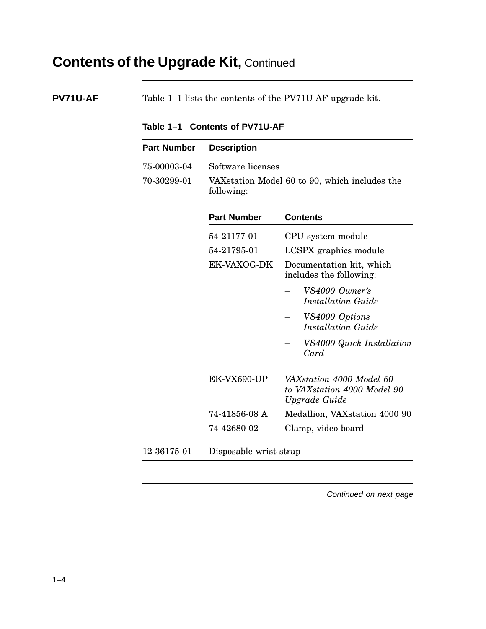## **Contents of the Upgrade Kit,** Continued

| <b>PV71U-AF</b> | Table 1–1 lists the contents of the PV71U-AF upgrade kit. |
|-----------------|-----------------------------------------------------------|
|-----------------|-----------------------------------------------------------|

| <b>Part Number</b> | <b>Description</b> |                                                                          |  |
|--------------------|--------------------|--------------------------------------------------------------------------|--|
| 75-00003-04        | Software licenses  |                                                                          |  |
| 70-30299-01        | following:         | VAX station Model 60 to 90, which includes the                           |  |
|                    | <b>Part Number</b> | <b>Contents</b>                                                          |  |
|                    | 54-21177-01        | CPU system module                                                        |  |
|                    | 54-21795-01        | LCSPX graphics module                                                    |  |
|                    | EK-VAXOG-DK        | Documentation kit, which<br>includes the following:                      |  |
|                    |                    | VS4000 Owner's<br><b>Installation Guide</b>                              |  |
|                    |                    | VS4000 Options<br><b>Installation Guide</b>                              |  |
|                    |                    | VS4000 Quick Installation<br>Card                                        |  |
|                    | EK-VX690-UP        | VAXstation 4000 Model 60<br>to VAXstation 4000 Model 90<br>Upgrade Guide |  |
|                    | 74-41856-08 A      | Medallion, VAXstation 4000 90                                            |  |
|                    | 74-42680-02        | Clamp, video board                                                       |  |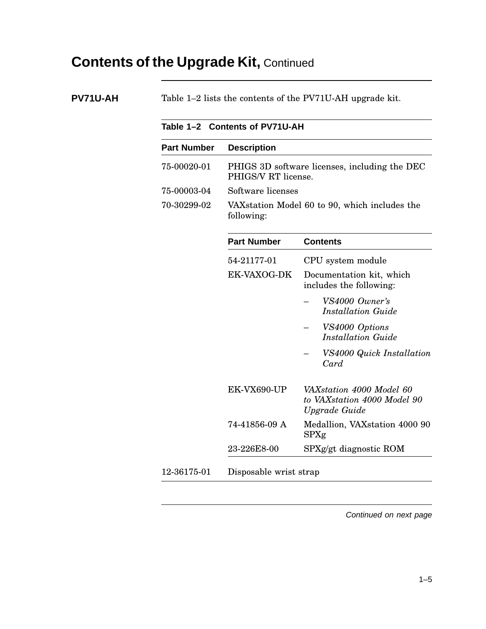## **Contents of the Upgrade Kit,** Continued

| <b>Part Number</b><br>75-00020-01<br>75-00003-04<br>70-30299-02 | <b>Description</b><br>PHIGS/V RT license.<br>Software licenses<br>following:<br><b>Part Number</b><br>54-21177-01<br>EK-VAXOG-DK | PHIGS 3D software licenses, including the DEC<br>VAXstation Model 60 to 90, which includes the<br><b>Contents</b><br>CPU system module<br>Documentation kit, which<br>includes the following: |
|-----------------------------------------------------------------|----------------------------------------------------------------------------------------------------------------------------------|-----------------------------------------------------------------------------------------------------------------------------------------------------------------------------------------------|
|                                                                 |                                                                                                                                  |                                                                                                                                                                                               |
|                                                                 |                                                                                                                                  |                                                                                                                                                                                               |
|                                                                 |                                                                                                                                  |                                                                                                                                                                                               |
|                                                                 |                                                                                                                                  |                                                                                                                                                                                               |
|                                                                 |                                                                                                                                  |                                                                                                                                                                                               |
|                                                                 |                                                                                                                                  |                                                                                                                                                                                               |
|                                                                 |                                                                                                                                  |                                                                                                                                                                                               |
|                                                                 |                                                                                                                                  | VS4000 Owner's<br><b>Installation Guide</b>                                                                                                                                                   |
|                                                                 |                                                                                                                                  | VS4000 Options<br><b>Installation Guide</b>                                                                                                                                                   |
|                                                                 |                                                                                                                                  | VS4000 Quick Installation<br>Card                                                                                                                                                             |
|                                                                 | EK-VX690-UP                                                                                                                      | VAXstation 4000 Model 60<br>to VAXstation 4000 Model 90<br>Upgrade Guide                                                                                                                      |
|                                                                 | 74-41856-09 A                                                                                                                    | Medallion, VAXstation 4000 90<br>SPXg                                                                                                                                                         |
|                                                                 | 23-226E8-00                                                                                                                      | SPXg/gt diagnostic ROM                                                                                                                                                                        |
|                                                                 | 12-36175-01                                                                                                                      | Disposable wrist strap                                                                                                                                                                        |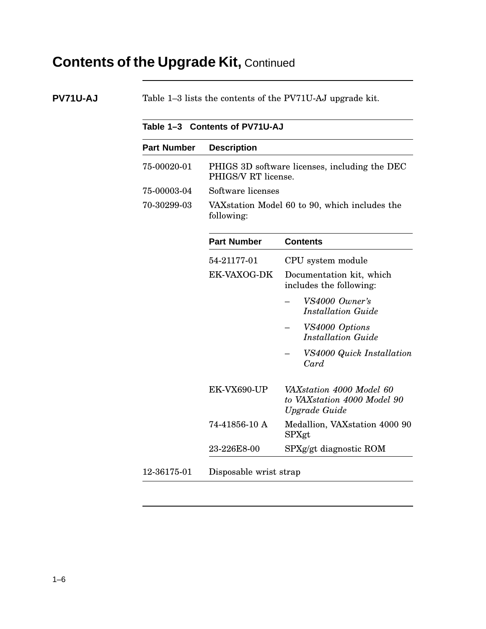## **Contents of the Upgrade Kit,** Continued

**PV71U-AJ** Table 1–3 lists the contents of the PV71U-AJ upgrade kit.

|                    | Table 1-3 Contents of PV71U-AJ |                                                                          |  |
|--------------------|--------------------------------|--------------------------------------------------------------------------|--|
| <b>Part Number</b> | <b>Description</b>             |                                                                          |  |
| 75-00020-01        | PHIGS/V RT license.            | PHIGS 3D software licenses, including the DEC                            |  |
| 75-00003-04        | Software licenses              |                                                                          |  |
| 70-30299-03        | following:                     | VAX station Model 60 to 90, which includes the                           |  |
|                    | <b>Part Number</b>             | <b>Contents</b>                                                          |  |
|                    | 54-21177-01                    | CPU system module                                                        |  |
|                    | EK-VAXOG-DK                    | Documentation kit, which<br>includes the following:                      |  |
|                    |                                | VS4000 Owner's<br><b>Installation Guide</b>                              |  |
|                    |                                | VS4000 Options<br><b>Installation Guide</b>                              |  |
|                    |                                | VS4000 Quick Installation<br>Card                                        |  |
|                    | EK-VX690-UP                    | VAXstation 4000 Model 60<br>to VAXstation 4000 Model 90<br>Upgrade Guide |  |
|                    | 74-41856-10 A                  | Medallion, VAXstation 4000 90<br>SPXgt                                   |  |
|                    | 23-226E8-00                    | SPXg/gt diagnostic ROM                                                   |  |
| 12-36175-01        | Disposable wrist strap         |                                                                          |  |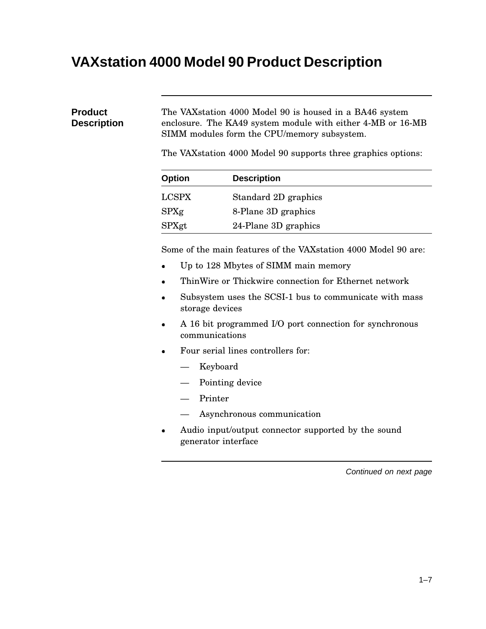## **VAXstation 4000 Model 90 Product Description**

#### **Product Description** The VAXstation 4000 Model 90 is housed in a BA46 system enclosure. The KA49 system module with either 4-MB or 16-MB SIMM modules form the CPU/memory subsystem.

The VAXstation 4000 Model 90 supports three graphics options:

| <b>Option</b> | <b>Description</b>   |  |
|---------------|----------------------|--|
| <b>LCSPX</b>  | Standard 2D graphics |  |
| SPXg          | 8-Plane 3D graphics  |  |
| SPXgt         | 24-Plane 3D graphics |  |

Some of the main features of the VAXstation 4000 Model 90 are:

- Up to 128 Mbytes of SIMM main memory
- ThinWire or Thickwire connection for Ethernet network
- Subsystem uses the SCSI-1 bus to communicate with mass storage devices
- A 16 bit programmed I/O port connection for synchronous communications
- Four serial lines controllers for:
	- Keyboard
	- Pointing device
	- Printer
	- Asynchronous communication
- Audio input/output connector supported by the sound generator interface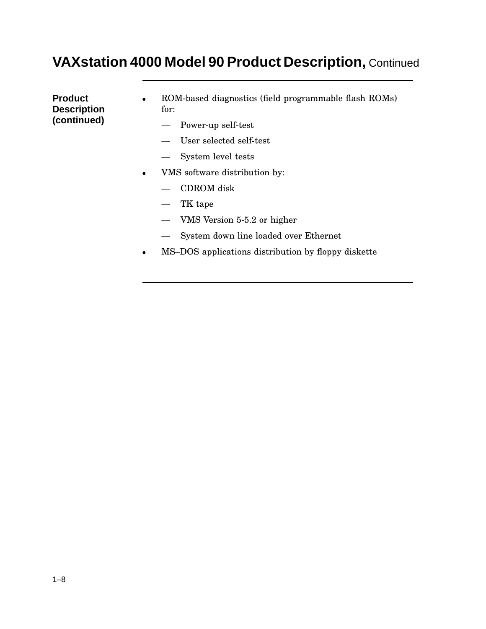#### **VAXstation 4000 Model 90 Product Description,** Continued

**Product Description (continued)**

- ROM-based diagnostics (field programmable flash ROMs) for:
	- Power-up self-test
	- User selected self-test
	- System level tests
- VMS software distribution by:
	- CDROM disk
	- TK tape
	- VMS Version 5-5.2 or higher
	- System down line loaded over Ethernet
- MS–DOS applications distribution by floppy diskette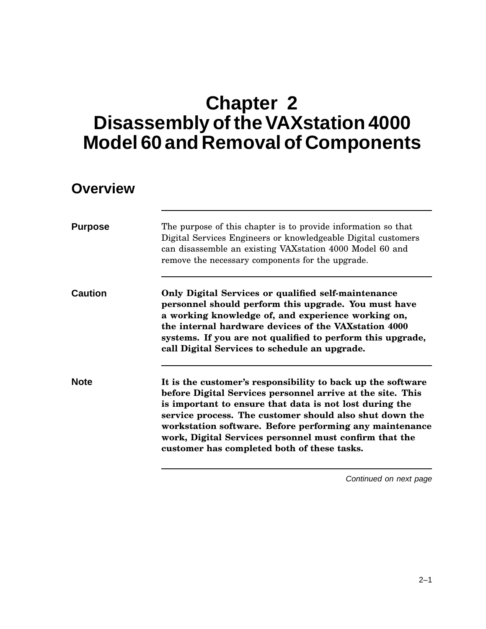# **Chapter 2 Disassembly of the VAXstation 4000 Model 60 and Removal of Components**

#### **Overview**

| <b>Purpose</b> | The purpose of this chapter is to provide information so that<br>Digital Services Engineers or knowledgeable Digital customers<br>can disassemble an existing VAXstation 4000 Model 60 and<br>remove the necessary components for the upgrade.                                                                                                                                                                      |
|----------------|---------------------------------------------------------------------------------------------------------------------------------------------------------------------------------------------------------------------------------------------------------------------------------------------------------------------------------------------------------------------------------------------------------------------|
| Caution        | Only Digital Services or qualified self-maintenance<br>personnel should perform this upgrade. You must have<br>a working knowledge of, and experience working on,<br>the internal hardware devices of the VAX station 4000<br>systems. If you are not qualified to perform this upgrade,<br>call Digital Services to schedule an upgrade.                                                                           |
| <b>Note</b>    | It is the customer's responsibility to back up the software<br>before Digital Services personnel arrive at the site. This<br>is important to ensure that data is not lost during the<br>service process. The customer should also shut down the<br>workstation software. Before performing any maintenance<br>work, Digital Services personnel must confirm that the<br>customer has completed both of these tasks. |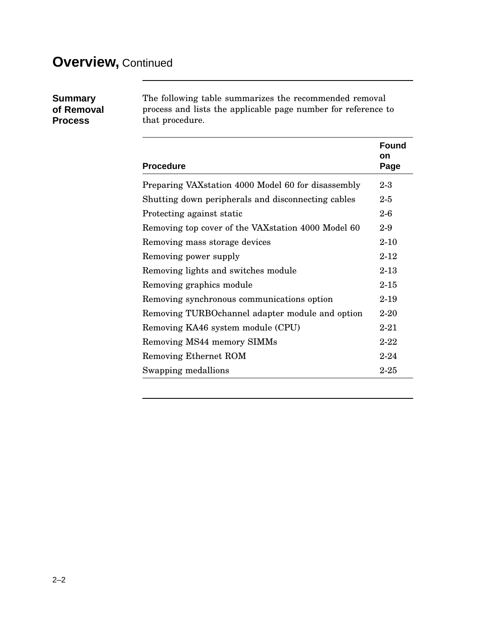## **Overview,** Continued

| <b>Summary</b> |
|----------------|
| of Removal     |
| <b>Process</b> |

The following table summarizes the recommended removal process and lists the applicable page number for reference to that procedure.

|                                                     | Found<br>on |
|-----------------------------------------------------|-------------|
| <b>Procedure</b>                                    | Page        |
| Preparing VAX station 4000 Model 60 for disassembly | $2-3$       |
| Shutting down peripherals and disconnecting cables  | $2-5$       |
| Protecting against static                           | $2-6$       |
| Removing top cover of the VAX station 4000 Model 60 | $2-9$       |
| Removing mass storage devices                       | $2 - 10$    |
| Removing power supply                               | $2 - 12$    |
| Removing lights and switches module                 | $2 - 13$    |
| Removing graphics module                            | $2 - 15$    |
| Removing synchronous communications option          | $2 - 19$    |
| Removing TURBO channel adapter module and option    | $2 - 20$    |
| Removing KA46 system module (CPU)                   | $2 - 21$    |
| Removing MS44 memory SIMMs                          | $2 - 22$    |
| Removing Ethernet ROM                               | $2 - 24$    |
| Swapping medallions                                 | $2 - 25$    |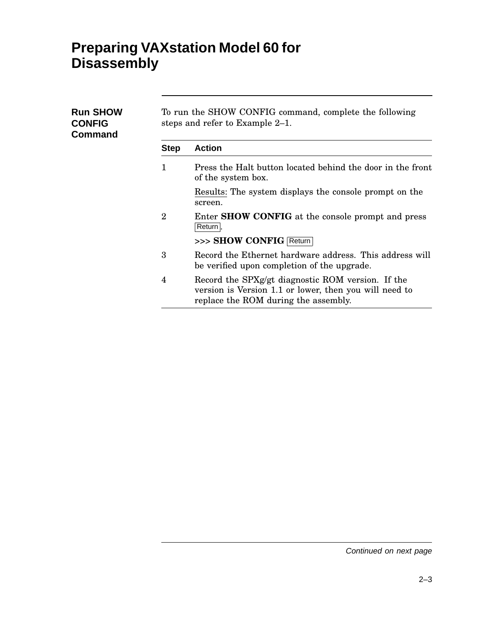## **Preparing VAXstation Model 60 for Disassembly**

| <b>Run SHOW</b><br><b>CONFIG</b><br><b>Command</b> | To run the SHOW CONFIG command, complete the following<br>steps and refer to Example 2–1. |                                                                                                                                                     |  |
|----------------------------------------------------|-------------------------------------------------------------------------------------------|-----------------------------------------------------------------------------------------------------------------------------------------------------|--|
|                                                    | <b>Step</b>                                                                               | <b>Action</b>                                                                                                                                       |  |
|                                                    | 1                                                                                         | Press the Halt button located behind the door in the front<br>of the system box.                                                                    |  |
|                                                    |                                                                                           | Results: The system displays the console prompt on the<br>screen.                                                                                   |  |
|                                                    | $\overline{2}$                                                                            | Enter <b>SHOW CONFIG</b> at the console prompt and press<br>Return.                                                                                 |  |
|                                                    |                                                                                           | >>> SHOW CONFIG Return                                                                                                                              |  |
|                                                    | 3                                                                                         | Record the Ethernet hardware address. This address will<br>be verified upon completion of the upgrade.                                              |  |
|                                                    | 4                                                                                         | Record the SPXg/gt diagnostic ROM version. If the<br>version is Version 1.1 or lower, then you will need to<br>replace the ROM during the assembly. |  |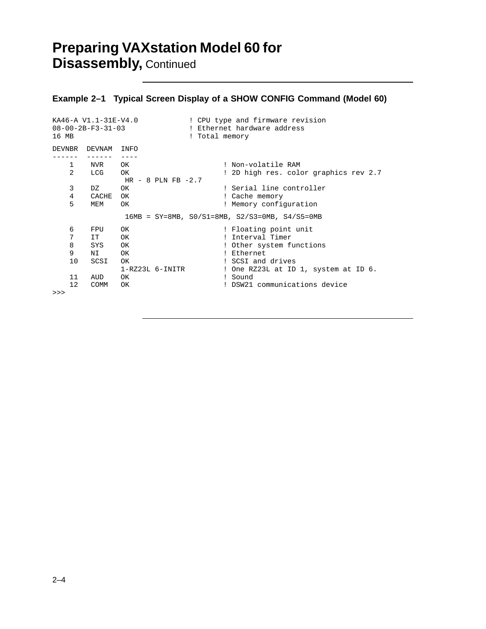## **Preparing VAXstation Model 60 for Disassembly,** Continued

#### **Example 2–1 Typical Screen Display of a SHOW CONFIG Command (Model 60)**

| 16 MB                              | $08 - 00 - 2B - F3 - 31 - 03$                             | KA46-A V1.1-31E-V4.0                                | ! CPU type and firmware revision<br>! Ethernet hardware address<br>! Total memory                                                                                                            |
|------------------------------------|-----------------------------------------------------------|-----------------------------------------------------|----------------------------------------------------------------------------------------------------------------------------------------------------------------------------------------------|
|                                    | DEVNBR DEVNAM INFO                                        |                                                     |                                                                                                                                                                                              |
| $1 \quad$<br>$\overline{2}$        | NVR OK<br>LCG OK                                          | HR $-$ 8 PLN FB $-2.7$                              | ! Non-volatile RAM<br>! 2D high res. color graphics rev 2.7                                                                                                                                  |
| 3<br>4<br>5                        | DZ<br>CACHE<br>MEM                                        | OK<br>OK<br><b>OK</b>                               | ! Serial line controller<br>! Cache memory<br>! Memory configuration                                                                                                                         |
|                                    |                                                           |                                                     | $16MB = SY = 8MB$ , $S0/S1 = 8MB$ , $S2/S3 = 0MB$ , $S4/S5 = 0MB$                                                                                                                            |
| 6<br>7<br>8<br>9<br>10<br>11<br>12 | FPU<br>IT<br>SYS OK<br>NI 1<br>SCSI<br>AUD<br><b>COMM</b> | OK<br>OK<br>OK<br>OK<br>1-RZ23L 6-INITR<br>OK<br>OK | ! Floating point unit<br>! Interval Timer<br>! Other system functions<br>! Ethernet<br>! SCSI and drives<br>! One RZ23L at ID 1, system at ID 6.<br>! Sound<br>! DSW21 communications device |
| >>                                 |                                                           |                                                     |                                                                                                                                                                                              |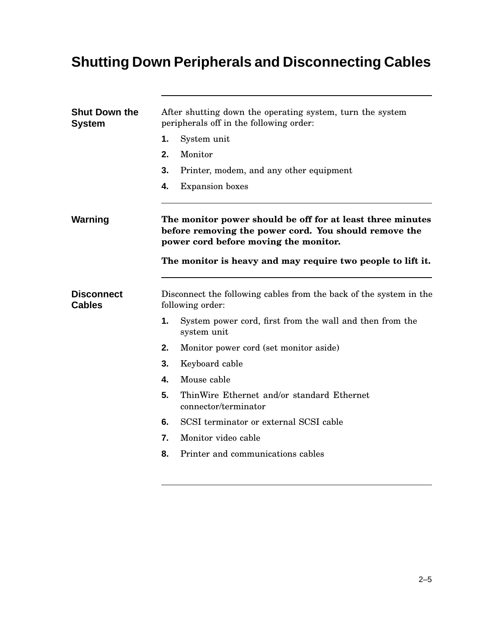# **Shutting Down Peripherals and Disconnecting Cables**

| <b>System</b>                      | After shutting down the operating system, turn the system<br>peripherals off in the following order:                                                         |  |  |
|------------------------------------|--------------------------------------------------------------------------------------------------------------------------------------------------------------|--|--|
|                                    | 1.<br>System unit                                                                                                                                            |  |  |
|                                    | Monitor<br>2.                                                                                                                                                |  |  |
|                                    | 3.<br>Printer, modem, and any other equipment                                                                                                                |  |  |
|                                    | 4.<br><b>Expansion</b> boxes                                                                                                                                 |  |  |
| Warning                            | The monitor power should be off for at least three minutes<br>before removing the power cord. You should remove the<br>power cord before moving the monitor. |  |  |
|                                    | The monitor is heavy and may require two people to lift it.                                                                                                  |  |  |
| <b>Disconnect</b><br><b>Cables</b> | Disconnect the following cables from the back of the system in the<br>following order:                                                                       |  |  |
|                                    | 1.<br>System power cord, first from the wall and then from the<br>system unit                                                                                |  |  |
|                                    | 2.<br>Monitor power cord (set monitor aside)                                                                                                                 |  |  |
|                                    | 3.<br>Keyboard cable                                                                                                                                         |  |  |
|                                    | 4.<br>Mouse cable                                                                                                                                            |  |  |
|                                    | 5.<br>ThinWire Ethernet and/or standard Ethernet<br>connector/terminator                                                                                     |  |  |
|                                    | SCSI terminator or external SCSI cable<br>6.                                                                                                                 |  |  |
|                                    | 7.<br>Monitor video cable                                                                                                                                    |  |  |
|                                    |                                                                                                                                                              |  |  |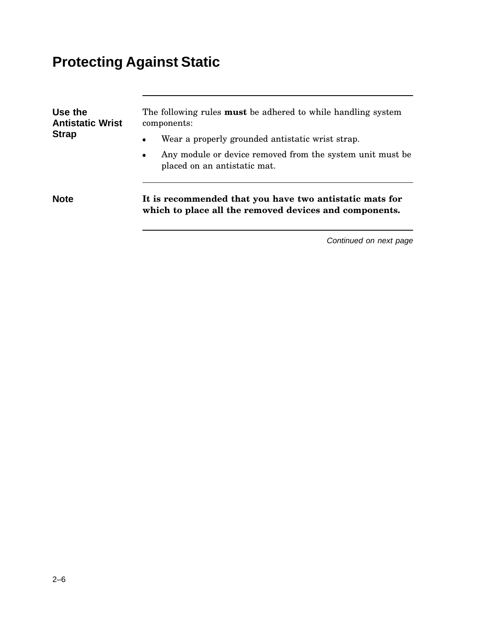# **Protecting Against Static**

| Use the<br><b>Antistatic Wrist</b> | The following rules <b>must</b> be adhered to while handling system<br>components:                                |
|------------------------------------|-------------------------------------------------------------------------------------------------------------------|
| <b>Strap</b>                       | Wear a properly grounded antistatic wrist strap.<br>$\bullet$                                                     |
|                                    | Any module or device removed from the system unit must be<br>$\bullet$<br>placed on an antistatic mat.            |
| <b>Note</b>                        | It is recommended that you have two antistatic mats for<br>which to place all the removed devices and components. |
|                                    | Continued on next page                                                                                            |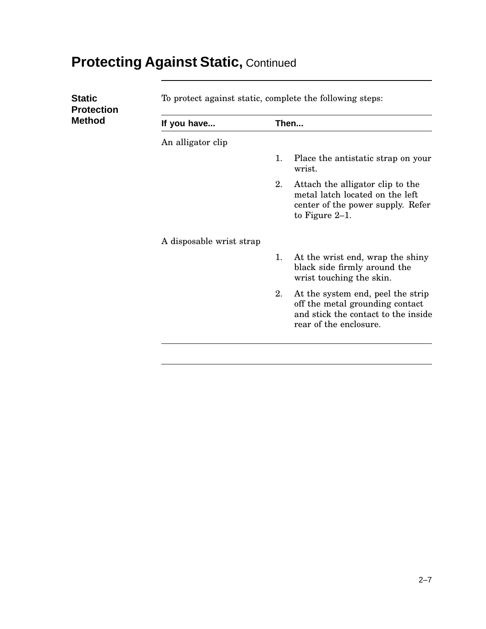# **Protecting Against Static,** Continued

| <b>Static</b><br><b>Protection</b> | To protect against static, complete the following steps: |    |                                                                                                                                       |
|------------------------------------|----------------------------------------------------------|----|---------------------------------------------------------------------------------------------------------------------------------------|
| <b>Method</b>                      | If you have                                              |    | Then                                                                                                                                  |
|                                    | An alligator clip                                        |    |                                                                                                                                       |
|                                    |                                                          | 1. | Place the antistatic strap on your<br>wrist.                                                                                          |
|                                    |                                                          | 2. | Attach the alligator clip to the<br>metal latch located on the left<br>center of the power supply. Refer<br>to Figure $2-1$ .         |
|                                    | A disposable wrist strap                                 |    |                                                                                                                                       |
|                                    |                                                          | 1. | At the wrist end, wrap the shiny<br>black side firmly around the<br>wrist touching the skin.                                          |
|                                    |                                                          | 2. | At the system end, peel the strip<br>off the metal grounding contact<br>and stick the contact to the inside<br>rear of the enclosure. |
|                                    |                                                          |    |                                                                                                                                       |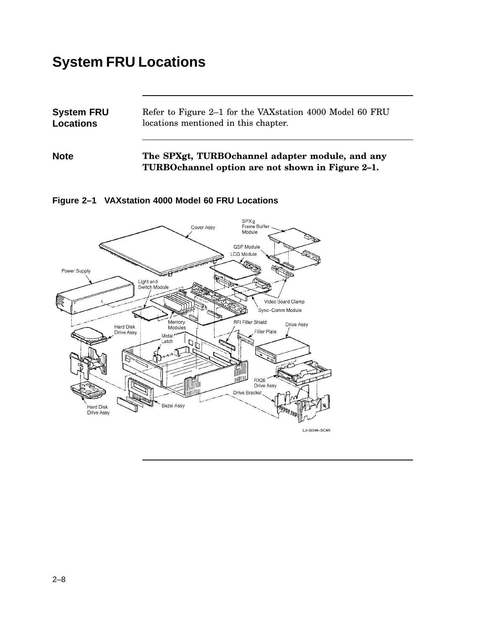## **System FRU Locations**

| <b>System FRU</b> | Refer to Figure 2–1 for the VAX station 4000 Model 60 FRU |  |  |
|-------------------|-----------------------------------------------------------|--|--|
| <b>Locations</b>  | locations mentioned in this chapter.                      |  |  |
|                   |                                                           |  |  |

**Note The SPXgt, TURBOchannel adapter module, and any TURBOchannel option are not shown in Figure 2–1.**



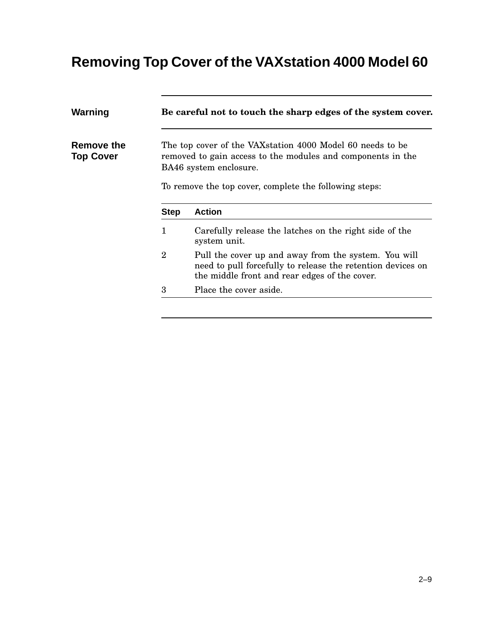## **Removing Top Cover of the VAXstation 4000 Model 60**

| Warning                        |                | Be careful not to touch the sharp edges of the system cover.                                                                                                         |  |  |
|--------------------------------|----------------|----------------------------------------------------------------------------------------------------------------------------------------------------------------------|--|--|
| Remove the<br><b>Top Cover</b> |                | The top cover of the VAX station 4000 Model 60 needs to be<br>removed to gain access to the modules and components in the<br>BA46 system enclosure.                  |  |  |
|                                |                | To remove the top cover, complete the following steps:                                                                                                               |  |  |
|                                | <b>Step</b>    | <b>Action</b>                                                                                                                                                        |  |  |
|                                | 1              | Carefully release the latches on the right side of the                                                                                                               |  |  |
|                                |                | system unit.                                                                                                                                                         |  |  |
|                                | $\overline{2}$ | Pull the cover up and away from the system. You will<br>need to pull forcefully to release the retention devices on<br>the middle front and rear edges of the cover. |  |  |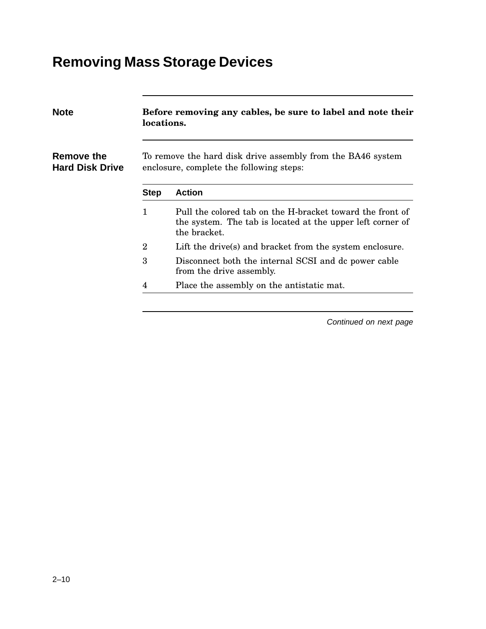## **Removing Mass Storage Devices**

| <b>Note</b>                          | Before removing any cables, be sure to label and note their<br>locations.<br>To remove the hard disk drive assembly from the BA46 system<br>enclosure, complete the following steps: |                                                                                                                                         |  |  |  |
|--------------------------------------|--------------------------------------------------------------------------------------------------------------------------------------------------------------------------------------|-----------------------------------------------------------------------------------------------------------------------------------------|--|--|--|
| Remove the<br><b>Hard Disk Drive</b> |                                                                                                                                                                                      |                                                                                                                                         |  |  |  |
|                                      | <b>Step</b>                                                                                                                                                                          | <b>Action</b>                                                                                                                           |  |  |  |
|                                      | 1                                                                                                                                                                                    | Pull the colored tab on the H-bracket toward the front of<br>the system. The tab is located at the upper left corner of<br>the bracket. |  |  |  |
|                                      | $\overline{2}$                                                                                                                                                                       | Lift the drive(s) and bracket from the system enclosure.                                                                                |  |  |  |
|                                      | 3                                                                                                                                                                                    | Disconnect both the internal SCSI and dc power cable<br>from the drive assembly.                                                        |  |  |  |
|                                      | 4                                                                                                                                                                                    | Place the assembly on the antistatic mat.                                                                                               |  |  |  |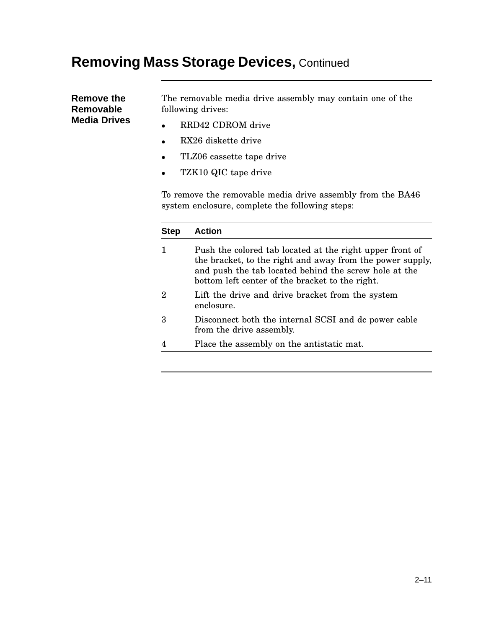#### **Removing Mass Storage Devices,** Continued

**Remove the Removable Media Drives** The removable media drive assembly may contain one of the following drives:

- RRD42 CDROM drive
- RX26 diskette drive
- TLZ06 cassette tape drive
- TZK10 QIC tape drive

To remove the removable media drive assembly from the BA46 system enclosure, complete the following steps:

| Step           | Action                                                                                                                                                                                                                            |
|----------------|-----------------------------------------------------------------------------------------------------------------------------------------------------------------------------------------------------------------------------------|
| 1              | Push the colored tab located at the right upper front of<br>the bracket, to the right and away from the power supply,<br>and push the tab located behind the screw hole at the<br>bottom left center of the bracket to the right. |
| $\overline{2}$ | Lift the drive and drive bracket from the system<br>enclosure.                                                                                                                                                                    |
| 3              | Disconnect both the internal SCSI and dc power cable<br>from the drive assembly.                                                                                                                                                  |
| 4              | Place the assembly on the antistatic mat.                                                                                                                                                                                         |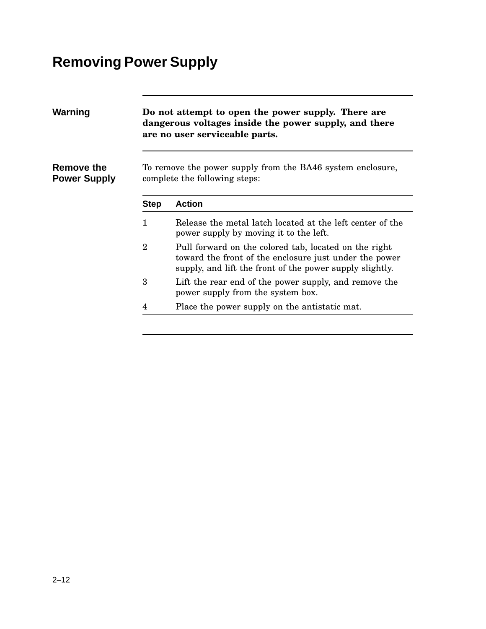# **Removing Power Supply**

| Warning                           |                | Do not attempt to open the power supply. There are<br>dangerous voltages inside the power supply, and there<br>are no user serviceable parts.<br>To remove the power supply from the BA46 system enclosure,<br>complete the following steps: |  |  |  |  |
|-----------------------------------|----------------|----------------------------------------------------------------------------------------------------------------------------------------------------------------------------------------------------------------------------------------------|--|--|--|--|
| Remove the<br><b>Power Supply</b> |                |                                                                                                                                                                                                                                              |  |  |  |  |
|                                   | <b>Step</b>    | <b>Action</b>                                                                                                                                                                                                                                |  |  |  |  |
|                                   | 1              | Release the metal latch located at the left center of the<br>power supply by moving it to the left.                                                                                                                                          |  |  |  |  |
|                                   | $\overline{2}$ | Pull forward on the colored tab, located on the right<br>toward the front of the enclosure just under the power<br>supply, and lift the front of the power supply slightly.                                                                  |  |  |  |  |
|                                   | 3              | Lift the rear end of the power supply, and remove the<br>power supply from the system box.                                                                                                                                                   |  |  |  |  |
|                                   | 4              | Place the power supply on the antistatic mat.                                                                                                                                                                                                |  |  |  |  |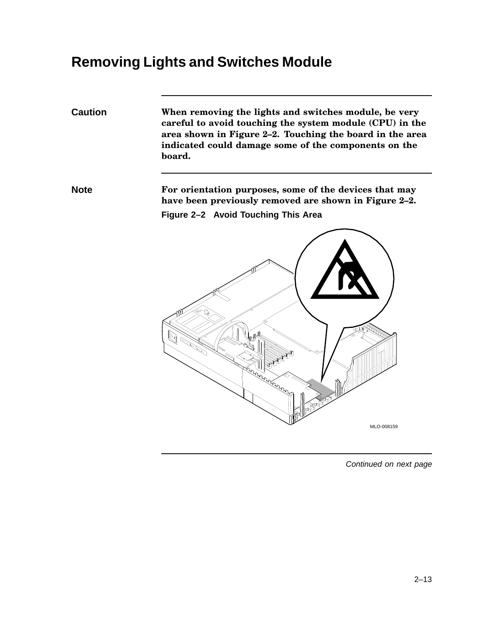## **Removing Lights and Switches Module**

**Caution When removing the lights and switches module, be very careful to avoid touching the system module (CPU) in the area shown in Figure 2–2. Touching the board in the area indicated could damage some of the components on the board.**

**Note For orientation purposes, some of the devices that may have been previously removed are shown in Figure 2–2. Figure 2–2 Avoid Touching This Area**

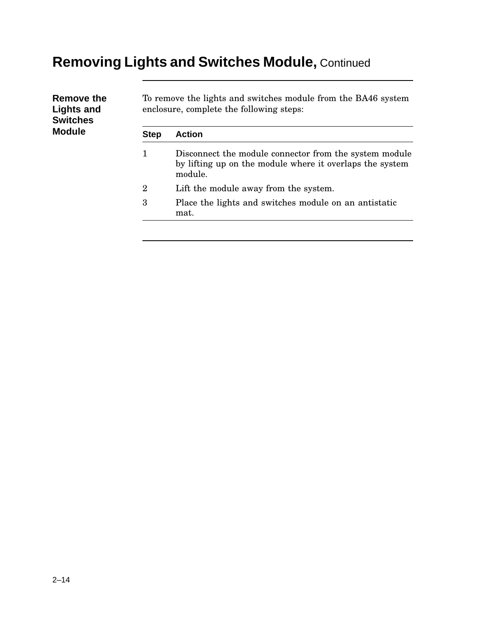# **Removing Lights and Switches Module,** Continued

| Remove the<br><b>Lights and</b><br><b>Switches</b><br><b>Module</b> |                | To remove the lights and switches module from the BA46 system<br>enclosure, complete the following steps:                     |  |  |
|---------------------------------------------------------------------|----------------|-------------------------------------------------------------------------------------------------------------------------------|--|--|
|                                                                     | <b>Step</b>    | <b>Action</b>                                                                                                                 |  |  |
|                                                                     | 1              | Disconnect the module connector from the system module<br>by lifting up on the module where it overlaps the system<br>module. |  |  |
|                                                                     | $\overline{2}$ | Lift the module away from the system.                                                                                         |  |  |
|                                                                     | 3              | Place the lights and switches module on an antistatic<br>mat.                                                                 |  |  |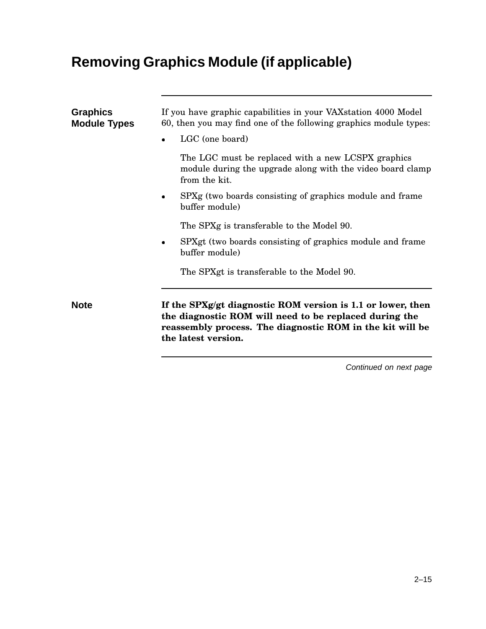# **Removing Graphics Module (if applicable)**

| <b>Graphics</b><br><b>Module Types</b> | If you have graphic capabilities in your VAX station 4000 Model<br>60, then you may find one of the following graphics module types:<br>LGC (one board)                                                   |  |  |  |  |
|----------------------------------------|-----------------------------------------------------------------------------------------------------------------------------------------------------------------------------------------------------------|--|--|--|--|
|                                        | The LGC must be replaced with a new LCSPX graphics<br>module during the upgrade along with the video board clamp<br>from the kit.                                                                         |  |  |  |  |
|                                        | SPXg (two boards consisting of graphics module and frame<br>buffer module)                                                                                                                                |  |  |  |  |
|                                        | The SPXg is transferable to the Model 90.                                                                                                                                                                 |  |  |  |  |
|                                        | SPXgt (two boards consisting of graphics module and frame<br>$\bullet$<br>buffer module)                                                                                                                  |  |  |  |  |
|                                        | The SPXgt is transferable to the Model 90.                                                                                                                                                                |  |  |  |  |
| <b>Note</b>                            | If the SPXg/gt diagnostic ROM version is 1.1 or lower, then<br>the diagnostic ROM will need to be replaced during the<br>reassembly process. The diagnostic ROM in the kit will be<br>the latest version. |  |  |  |  |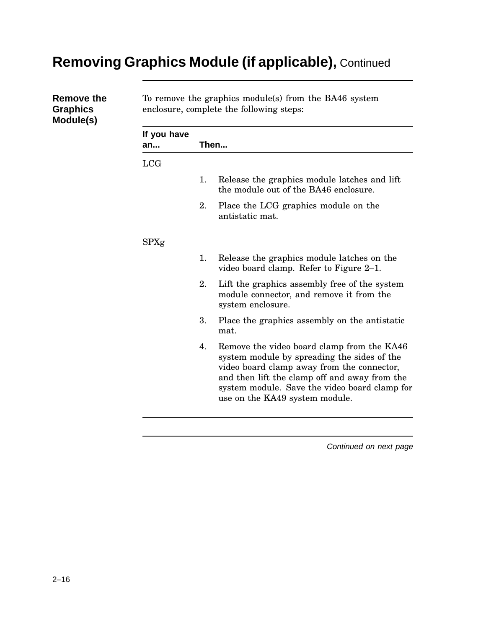## **Removing Graphics Module (if applicable),** Continued

| <b>Remove the</b><br><b>Graphics</b><br>Module(s) | To remove the graphics module(s) from the BA46 system<br>enclosure, complete the following steps: |    |                                                                                                                                                                                                                                                                             |  |
|---------------------------------------------------|---------------------------------------------------------------------------------------------------|----|-----------------------------------------------------------------------------------------------------------------------------------------------------------------------------------------------------------------------------------------------------------------------------|--|
|                                                   | If you have<br>an                                                                                 |    | Then                                                                                                                                                                                                                                                                        |  |
|                                                   | <b>LCG</b>                                                                                        |    |                                                                                                                                                                                                                                                                             |  |
|                                                   |                                                                                                   | 1. | Release the graphics module latches and lift<br>the module out of the BA46 enclosure.                                                                                                                                                                                       |  |
|                                                   |                                                                                                   | 2. | Place the LCG graphics module on the<br>antistatic mat.                                                                                                                                                                                                                     |  |
|                                                   | <b>SPXg</b>                                                                                       |    |                                                                                                                                                                                                                                                                             |  |
|                                                   |                                                                                                   | 1. | Release the graphics module latches on the<br>video board clamp. Refer to Figure 2–1.                                                                                                                                                                                       |  |
|                                                   |                                                                                                   | 2. | Lift the graphics assembly free of the system<br>module connector, and remove it from the<br>system enclosure.                                                                                                                                                              |  |
|                                                   |                                                                                                   | 3. | Place the graphics assembly on the antistatic<br>mat.                                                                                                                                                                                                                       |  |
|                                                   |                                                                                                   | 4. | Remove the video board clamp from the KA46<br>system module by spreading the sides of the<br>video board clamp away from the connector,<br>and then lift the clamp off and away from the<br>system module. Save the video board clamp for<br>use on the KA49 system module. |  |
|                                                   |                                                                                                   |    |                                                                                                                                                                                                                                                                             |  |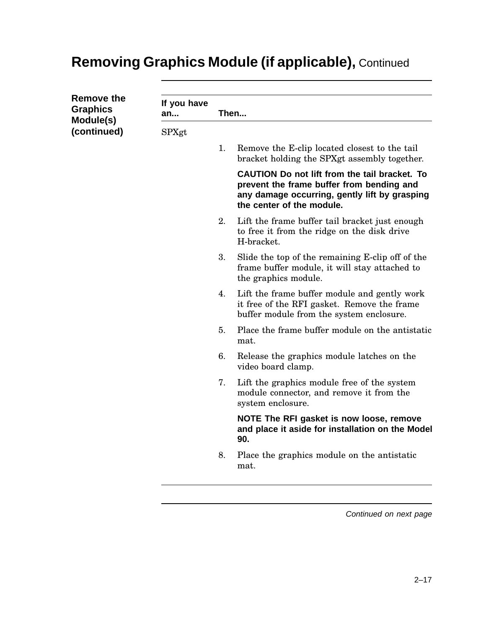## **Removing Graphics Module (if applicable),** Continued

| <b>Remove the</b><br><b>Graphics</b><br>Module(s) | If you have<br>an | Then |                                                                                                                                                                          |  |
|---------------------------------------------------|-------------------|------|--------------------------------------------------------------------------------------------------------------------------------------------------------------------------|--|
| (continued)                                       | SPXgt             |      |                                                                                                                                                                          |  |
|                                                   |                   | 1.   | Remove the E-clip located closest to the tail<br>bracket holding the SPXgt assembly together.                                                                            |  |
|                                                   |                   |      | CAUTION Do not lift from the tail bracket. To<br>prevent the frame buffer from bending and<br>any damage occurring, gently lift by grasping<br>the center of the module. |  |
|                                                   |                   | 2.   | Lift the frame buffer tail bracket just enough<br>to free it from the ridge on the disk drive<br>H-bracket.                                                              |  |
|                                                   |                   | 3.   | Slide the top of the remaining E-clip off of the<br>frame buffer module, it will stay attached to<br>the graphics module.                                                |  |
|                                                   |                   | 4.   | Lift the frame buffer module and gently work<br>it free of the RFI gasket. Remove the frame<br>buffer module from the system enclosure.                                  |  |
|                                                   |                   | 5.   | Place the frame buffer module on the antistatic<br>mat.                                                                                                                  |  |
|                                                   |                   | 6.   | Release the graphics module latches on the<br>video board clamp.                                                                                                         |  |
|                                                   |                   | 7.   | Lift the graphics module free of the system<br>module connector, and remove it from the<br>system enclosure.                                                             |  |
|                                                   |                   |      | NOTE The RFI gasket is now loose, remove<br>and place it aside for installation on the Model<br>90.                                                                      |  |
|                                                   |                   | 8.   | Place the graphics module on the antistatic<br>mat.                                                                                                                      |  |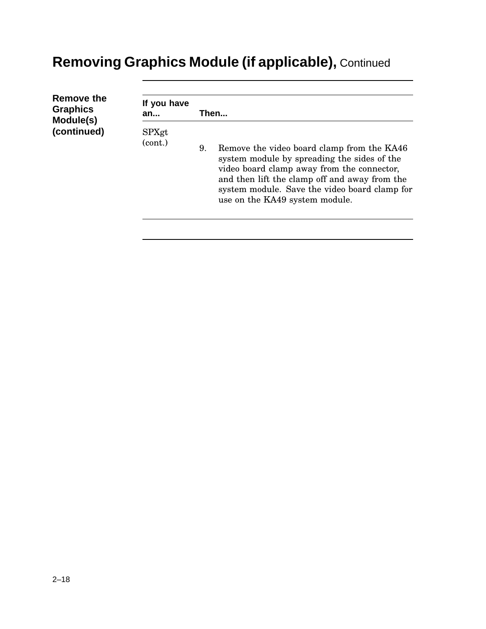# **Removing Graphics Module (if applicable),** Continued

| Remove the      | If you have      |                                                                                                                                                                                                                                                                                   |  |  |  |
|-----------------|------------------|-----------------------------------------------------------------------------------------------------------------------------------------------------------------------------------------------------------------------------------------------------------------------------------|--|--|--|
| <b>Graphics</b> | Then             |                                                                                                                                                                                                                                                                                   |  |  |  |
| Module(s)       | an               |                                                                                                                                                                                                                                                                                   |  |  |  |
| (continued)     | SPXgt<br>(cont.) | Remove the video board clamp from the KA46<br>9.<br>system module by spreading the sides of the<br>video board clamp away from the connector,<br>and then lift the clamp off and away from the<br>system module. Save the video board clamp for<br>use on the KA49 system module. |  |  |  |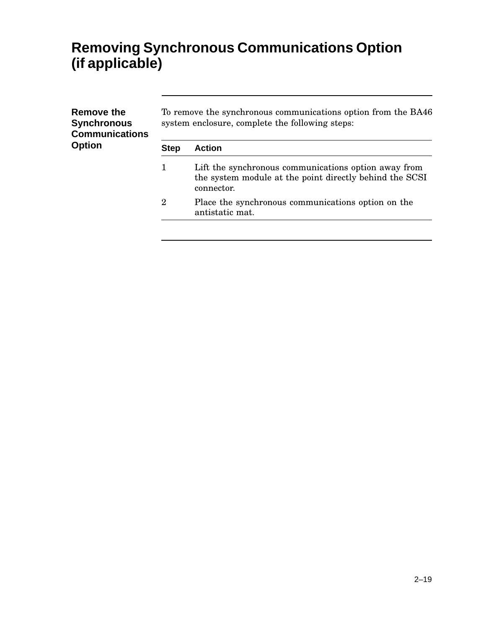## **Removing Synchronous Communications Option (if applicable)**

| Remove the<br><b>Synchronous</b><br><b>Communications</b><br><b>Option</b> | To remove the synchronous communications option from the BA46<br>system enclosure, complete the following steps: |                                                                                                                               |  |  |  |
|----------------------------------------------------------------------------|------------------------------------------------------------------------------------------------------------------|-------------------------------------------------------------------------------------------------------------------------------|--|--|--|
|                                                                            | <b>Step</b>                                                                                                      | <b>Action</b>                                                                                                                 |  |  |  |
|                                                                            | 1                                                                                                                | Lift the synchronous communications option away from<br>the system module at the point directly behind the SCSI<br>connector. |  |  |  |
|                                                                            | $\overline{2}$                                                                                                   | Place the synchronous communications option on the<br>antistatic mat.                                                         |  |  |  |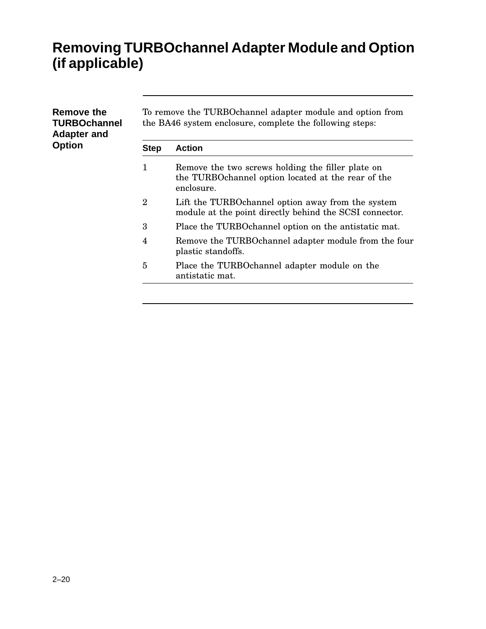## **Removing TURBOchannel Adapter Module and Option (if applicable)**

| Remove the<br><b>TURBOchannel</b><br><b>Adapter and</b> |                | To remove the TURBO channel adapter module and option from<br>the BA46 system enclosure, complete the following steps: |  |  |
|---------------------------------------------------------|----------------|------------------------------------------------------------------------------------------------------------------------|--|--|
| <b>Option</b>                                           | <b>Step</b>    | <b>Action</b>                                                                                                          |  |  |
|                                                         | 1              | Remove the two screws holding the filler plate on<br>the TURBO channel option located at the rear of the<br>enclosure. |  |  |
|                                                         | $\overline{2}$ | Lift the TURBO channel option away from the system<br>module at the point directly behind the SCSI connector.          |  |  |
|                                                         | 3              | Place the TURBO channel option on the antistatic mat.                                                                  |  |  |
|                                                         | 4              | Remove the TURBO channel adapter module from the four<br>plastic standoffs.                                            |  |  |
|                                                         | 5              | Place the TURBOchannel adapter module on the<br>antistatic mat.                                                        |  |  |
|                                                         |                |                                                                                                                        |  |  |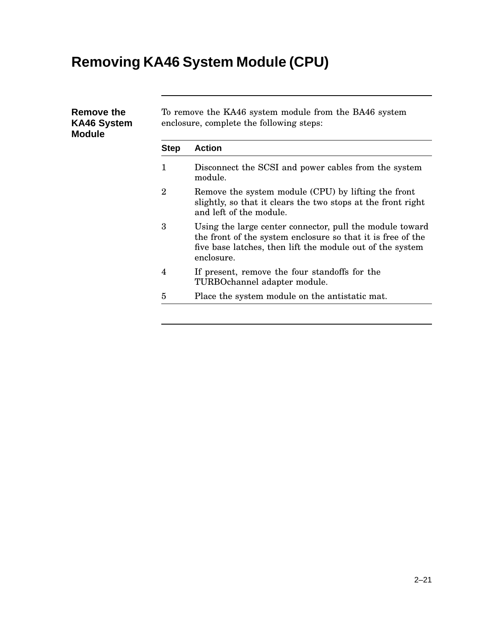# **Removing KA46 System Module (CPU)**

| <b>Step</b>    | <b>Action</b>                                                                                                                                                                                      |
|----------------|----------------------------------------------------------------------------------------------------------------------------------------------------------------------------------------------------|
| 1              | Disconnect the SCSI and power cables from the system<br>module.                                                                                                                                    |
| $\overline{2}$ | Remove the system module (CPU) by lifting the front<br>slightly, so that it clears the two stops at the front right<br>and left of the module.                                                     |
| 3              | Using the large center connector, pull the module toward<br>the front of the system enclosure so that it is free of the<br>five base latches, then lift the module out of the system<br>enclosure. |
| 4              | If present, remove the four standoffs for the<br>TURBOchannel adapter module.                                                                                                                      |
| 5              | Place the system module on the antistatic mat.                                                                                                                                                     |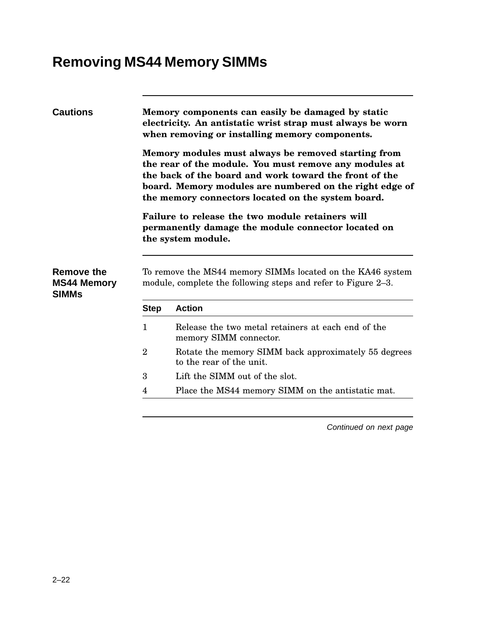## **Removing MS44 Memory SIMMs**

| <b>Cautions</b>    |                | Memory components can easily be damaged by static<br>electricity. An antistatic wrist strap must always be worn<br>when removing or installing memory components.<br>Memory modules must always be removed starting from<br>the rear of the module. You must remove any modules at<br>the back of the board and work toward the front of the<br>board. Memory modules are numbered on the right edge of<br>the memory connectors located on the system board.<br>Failure to release the two module retainers will |  |  |
|--------------------|----------------|-------------------------------------------------------------------------------------------------------------------------------------------------------------------------------------------------------------------------------------------------------------------------------------------------------------------------------------------------------------------------------------------------------------------------------------------------------------------------------------------------------------------|--|--|
| <b>Remove the</b>  |                | permanently damage the module connector located on<br>the system module.<br>To remove the MS44 memory SIMMs located on the KA46 system                                                                                                                                                                                                                                                                                                                                                                            |  |  |
| <b>MS44 Memory</b> |                | module, complete the following steps and refer to Figure 2-3.                                                                                                                                                                                                                                                                                                                                                                                                                                                     |  |  |
| <b>SIMMs</b>       |                |                                                                                                                                                                                                                                                                                                                                                                                                                                                                                                                   |  |  |
|                    | <b>Step</b>    | <b>Action</b>                                                                                                                                                                                                                                                                                                                                                                                                                                                                                                     |  |  |
|                    | $\mathbf{1}$   | Release the two metal retainers at each end of the<br>memory SIMM connector.                                                                                                                                                                                                                                                                                                                                                                                                                                      |  |  |
|                    | $\overline{2}$ | Rotate the memory SIMM back approximately 55 degrees<br>to the rear of the unit.                                                                                                                                                                                                                                                                                                                                                                                                                                  |  |  |
|                    | 3              | Lift the SIMM out of the slot.                                                                                                                                                                                                                                                                                                                                                                                                                                                                                    |  |  |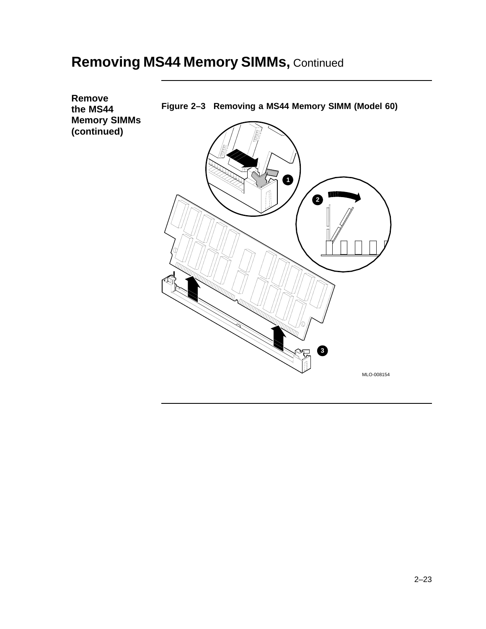#### **Removing MS44 Memory SIMMs,** Continued

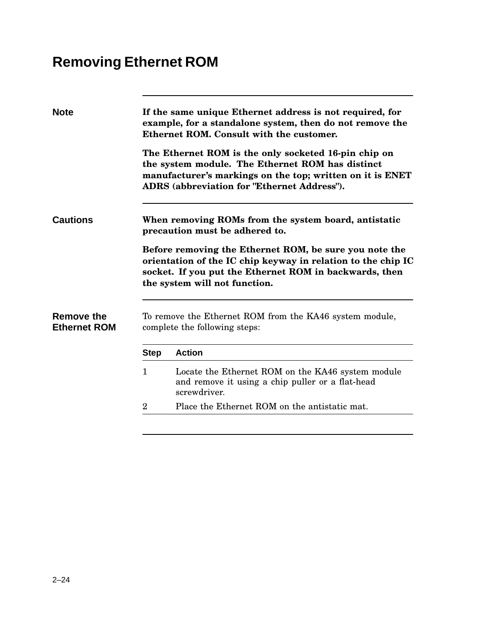# **Removing Ethernet ROM**

| <b>Note</b>                       |              | If the same unique Ethernet address is not required, for<br>example, for a standalone system, then do not remove the<br>Ethernet ROM. Consult with the customer.                                                            |
|-----------------------------------|--------------|-----------------------------------------------------------------------------------------------------------------------------------------------------------------------------------------------------------------------------|
|                                   |              | The Ethernet ROM is the only socketed 16-pin chip on<br>the system module. The Ethernet ROM has distinct<br>manufacturer's markings on the top; written on it is ENET<br><b>ADRS</b> (abbreviation for "Ethernet Address"). |
| <b>Cautions</b>                   |              | When removing ROMs from the system board, antistatic<br>precaution must be adhered to.                                                                                                                                      |
|                                   |              |                                                                                                                                                                                                                             |
|                                   |              | Before removing the Ethernet ROM, be sure you note the<br>orientation of the IC chip keyway in relation to the chip IC<br>socket. If you put the Ethernet ROM in backwards, then<br>the system will not function.           |
| Remove the<br><b>Ethernet ROM</b> |              | To remove the Ethernet ROM from the KA46 system module,<br>complete the following steps:                                                                                                                                    |
|                                   | <b>Step</b>  | <b>Action</b>                                                                                                                                                                                                               |
|                                   | $\mathbf{1}$ | Locate the Ethernet ROM on the KA46 system module<br>and remove it using a chip puller or a flat-head<br>screwdriver.                                                                                                       |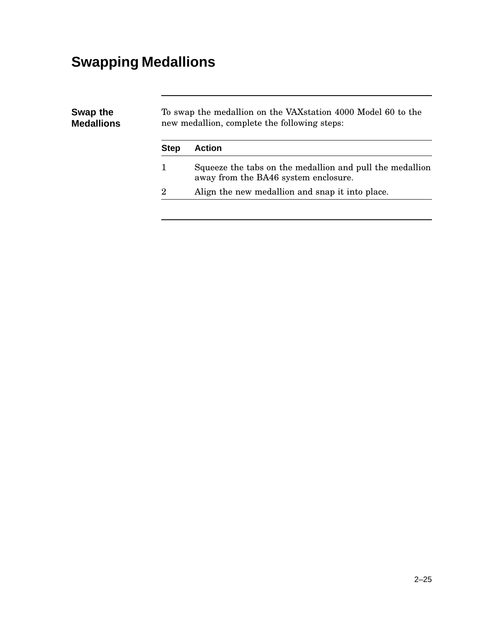# **Swapping Medallions**

| Swap the<br><b>Medallions</b> | To swap the medallion on the VAX station 4000 Model 60 to the<br>new medallion, complete the following steps: |                                                                                                  |  |
|-------------------------------|---------------------------------------------------------------------------------------------------------------|--------------------------------------------------------------------------------------------------|--|
|                               | <b>Step</b>                                                                                                   | <b>Action</b>                                                                                    |  |
|                               |                                                                                                               | Squeeze the tabs on the medallion and pull the medallion<br>away from the BA46 system enclosure. |  |
|                               | $\overline{2}$                                                                                                | Align the new medallion and snap it into place.                                                  |  |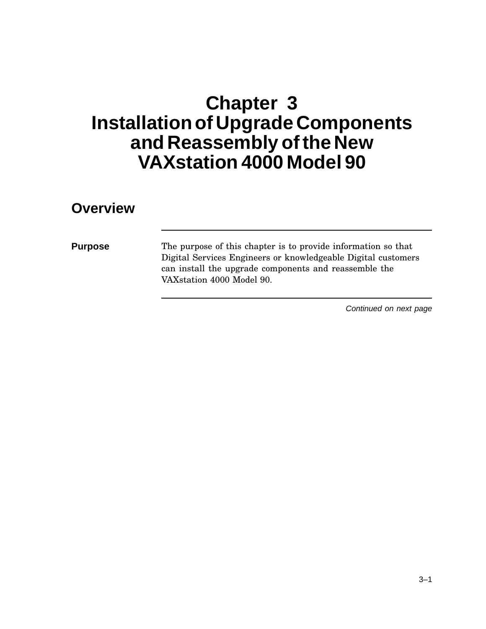# **Chapter 3 Installation of Upgrade Components and Reassembly ofthe New VAXstation 4000 Model 90**

#### **Overview**

**Purpose** The purpose of this chapter is to provide information so that Digital Services Engineers or knowledgeable Digital customers can install the upgrade components and reassemble the VAXstation 4000 Model 90.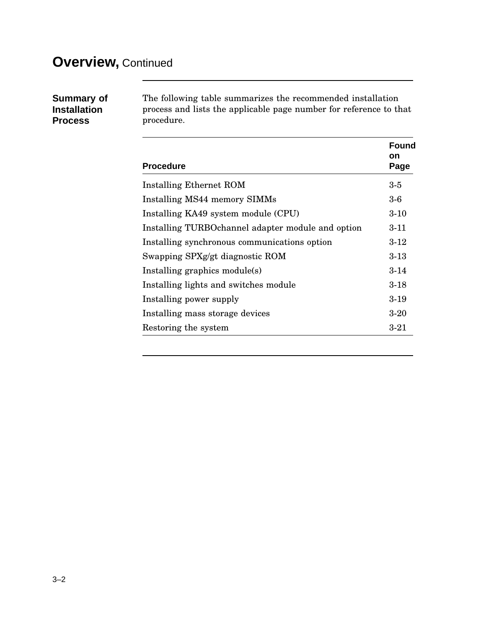#### **Overview,** Continued

| <b>Summary of</b>   |
|---------------------|
| <b>Installation</b> |
| <b>Process</b>      |

The following table summarizes the recommended installation process and lists the applicable page number for reference to that procedure.

| <b>Procedure</b>                                   | <b>Found</b><br>on<br>Page |
|----------------------------------------------------|----------------------------|
| Installing Ethernet ROM                            | $3-5$                      |
| Installing MS44 memory SIMMs                       | $3-6$                      |
| Installing KA49 system module (CPU)                | $3 - 10$                   |
| Installing TURBO channel adapter module and option | $3 - 11$                   |
| Installing synchronous communications option       | $3-12$                     |
| Swapping SPXg/gt diagnostic ROM                    | $3 - 13$                   |
| Installing graphics module(s)                      | $3 - 14$                   |
| Installing lights and switches module              | $3 - 18$                   |
| Installing power supply                            | $3-19$                     |
| Installing mass storage devices                    | $3-20$                     |
| Restoring the system                               | $3 - 21$                   |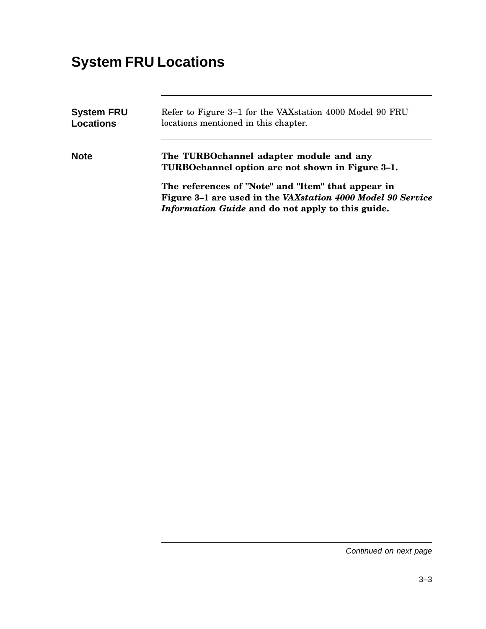## **System FRU Locations**

| <b>System FRU</b><br><b>Locations</b> | Refer to Figure 3–1 for the VAX station 4000 Model 90 FRU<br>locations mentioned in this chapter.                                                                      |  |  |
|---------------------------------------|------------------------------------------------------------------------------------------------------------------------------------------------------------------------|--|--|
| <b>Note</b>                           | The TURBOchannel adapter module and any<br>TURBOchannel option are not shown in Figure 3-1.                                                                            |  |  |
|                                       | The references of "Note" and "Item" that appear in<br>Figure 3-1 are used in the VAXstation 4000 Model 90 Service<br>Information Guide and do not apply to this guide. |  |  |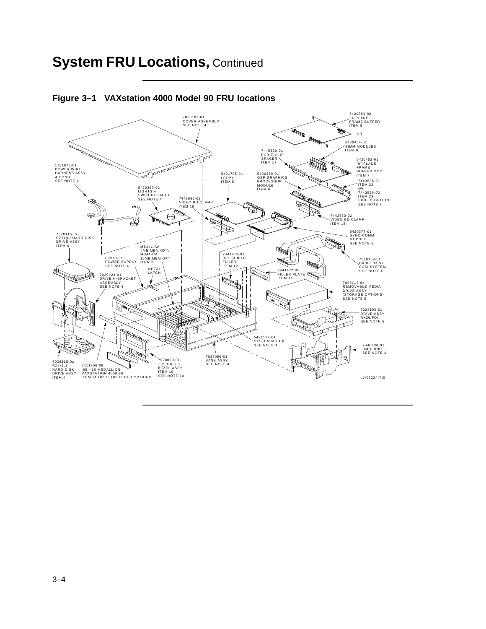#### **System FRU Locations,** Continued



**Figure 3–1 VAXstation 4000 Model 90 FRU locations**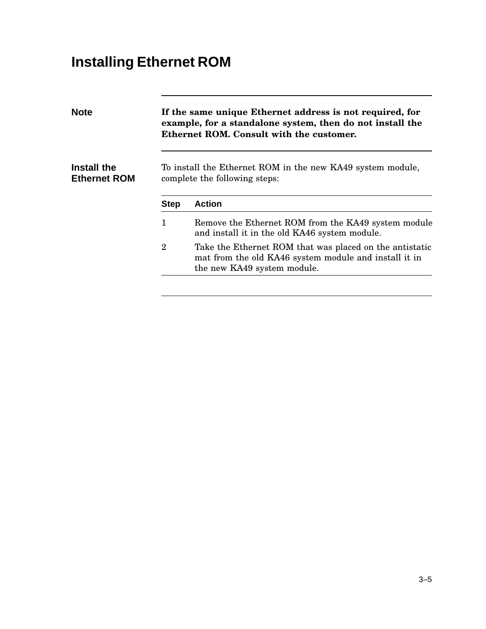# **Installing Ethernet ROM**

| <b>Note</b><br>If the same unique Ethernet address is not required, for<br>example, for a standalone system, then do not install the<br>Ethernet ROM. Consult with the customer. |                                                                                                                                                 |  |
|----------------------------------------------------------------------------------------------------------------------------------------------------------------------------------|-------------------------------------------------------------------------------------------------------------------------------------------------|--|
|                                                                                                                                                                                  | To install the Ethernet ROM in the new KA49 system module,<br>complete the following steps:                                                     |  |
| <b>Step</b>                                                                                                                                                                      | <b>Action</b>                                                                                                                                   |  |
| 1                                                                                                                                                                                | Remove the Ethernet ROM from the KA49 system module<br>and install it in the old KA46 system module.                                            |  |
| $\overline{2}$                                                                                                                                                                   | Take the Ethernet ROM that was placed on the antistatic<br>mat from the old KA46 system module and install it in<br>the new KA49 system module. |  |
|                                                                                                                                                                                  |                                                                                                                                                 |  |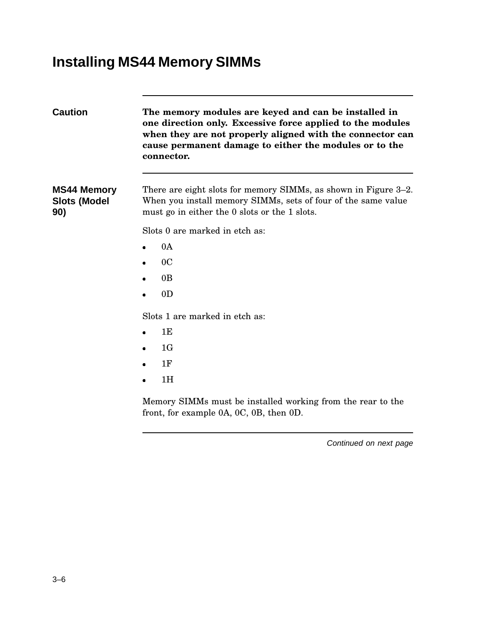## **Installing MS44 Memory SIMMs**

| <b>Caution</b>                                   | The memory modules are keyed and can be installed in<br>one direction only. Excessive force applied to the modules<br>when they are not properly aligned with the connector can<br>cause permanent damage to either the modules or to the<br>connector. |  |  |
|--------------------------------------------------|---------------------------------------------------------------------------------------------------------------------------------------------------------------------------------------------------------------------------------------------------------|--|--|
| <b>MS44 Memory</b><br><b>Slots (Model</b><br>90) | There are eight slots for memory SIMMs, as shown in Figure 3–2.<br>When you install memory SIMMs, sets of four of the same value<br>must go in either the 0 slots or the 1 slots.                                                                       |  |  |
|                                                  | Slots 0 are marked in etch as:                                                                                                                                                                                                                          |  |  |
|                                                  | 0A                                                                                                                                                                                                                                                      |  |  |
|                                                  | 0 <sup>C</sup>                                                                                                                                                                                                                                          |  |  |
|                                                  | 0 <sub>B</sub>                                                                                                                                                                                                                                          |  |  |
|                                                  | 0 <sub>D</sub>                                                                                                                                                                                                                                          |  |  |
|                                                  | Slots 1 are marked in etch as:                                                                                                                                                                                                                          |  |  |
|                                                  | 1E                                                                                                                                                                                                                                                      |  |  |
|                                                  | 1G                                                                                                                                                                                                                                                      |  |  |
|                                                  | 1F                                                                                                                                                                                                                                                      |  |  |
|                                                  | 1H                                                                                                                                                                                                                                                      |  |  |
|                                                  | Memory SIMMs must be installed working from the rear to the<br>front, for example $0A$ , $0C$ , $0B$ , then $0D$ .                                                                                                                                      |  |  |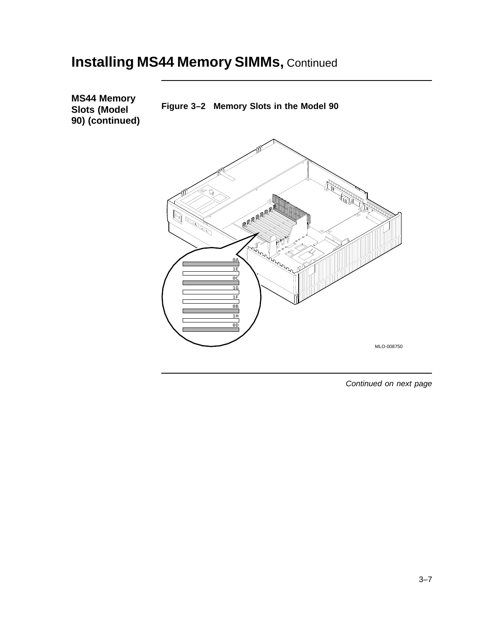#### **Installing MS44 Memory SIMMs, Continued**

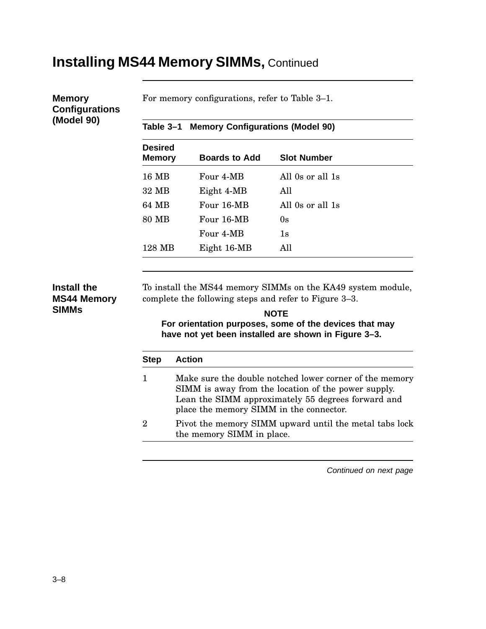#### **Installing MS44 Memory SIMMs,** Continued

#### **Memory Configurations (Model 90)**

For memory configurations, refer to Table 3–1.

|  | Table 3–1 Memory Configurations (Model 90) |  |
|--|--------------------------------------------|--|
|  |                                            |  |

| <b>Desired</b><br><b>Memory</b> | <b>Boards to Add</b> | <b>Slot Number</b> |  |
|---------------------------------|----------------------|--------------------|--|
| 16 MB                           | Four 4-MB            | All 0s or all 1s   |  |
| 32 MB                           | Eight 4-MB           | All                |  |
| 64 MB                           | Four 16-MB           | All 0s or all 1s   |  |
| 80 MB                           | Four 16-MB           | 0s                 |  |
|                                 | Four 4-MB            | 1s                 |  |
| 128 MB                          | Eight 16-MB          | All                |  |

#### **Install the MS44 Memory SIMMs**

To install the MS44 memory SIMMs on the KA49 system module, complete the following steps and refer to Figure 3–3.

#### **NOTE**

**For orientation purposes, some of the devices that may have not yet been installed are shown in Figure 3–3.**

| <b>Step</b> | <b>Action</b>                                                                                                                                                                                                   |
|-------------|-----------------------------------------------------------------------------------------------------------------------------------------------------------------------------------------------------------------|
|             | Make sure the double notched lower corner of the memory<br>SIMM is away from the location of the power supply.<br>Lean the SIMM approximately 55 degrees forward and<br>place the memory SIMM in the connector. |
|             | Pivot the memory SIMM upward until the metal tabs lock<br>the memory SIMM in place.                                                                                                                             |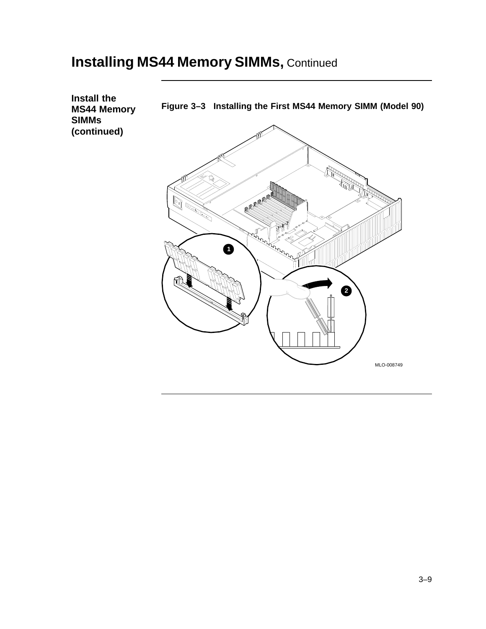#### **Installing MS44 Memory SIMMs, Continued**

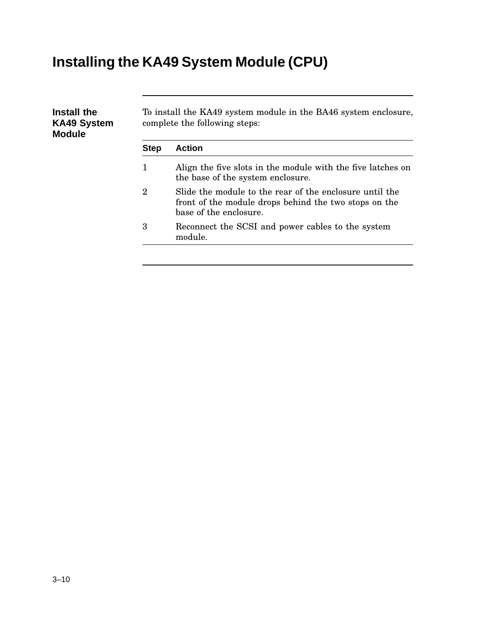# **Installing the KA49 System Module (CPU)**

| Install the<br><b>KA49 System</b><br><b>Module</b> | To install the KA49 system module in the BA46 system enclosure,<br>complete the following steps: |                                                                                                                                            |  |  |  |
|----------------------------------------------------|--------------------------------------------------------------------------------------------------|--------------------------------------------------------------------------------------------------------------------------------------------|--|--|--|
|                                                    | <b>Step</b>                                                                                      | <b>Action</b>                                                                                                                              |  |  |  |
|                                                    | 1                                                                                                | Align the five slots in the module with the five latches on<br>the base of the system enclosure.                                           |  |  |  |
|                                                    | $\boldsymbol{2}$                                                                                 | Slide the module to the rear of the enclosure until the<br>front of the module drops behind the two stops on the<br>base of the enclosure. |  |  |  |
|                                                    | 3                                                                                                | Reconnect the SCSI and power cables to the system<br>module.                                                                               |  |  |  |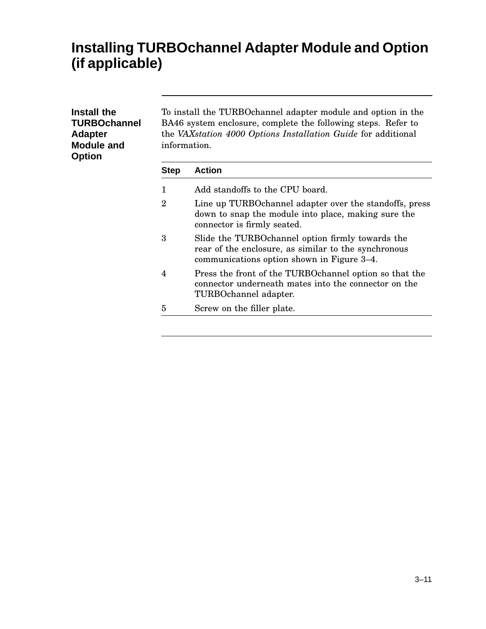#### **Installing TURBOchannel Adapter Module and Option (if applicable)**

| Install the<br><b>TURBOchannel</b><br><b>Adapter</b><br><b>Module and</b><br><b>Option</b> | To install the TURBO channel adapter module and option in the<br>BA46 system enclosure, complete the following steps. Refer to<br>the VAXstation 4000 Options Installation Guide for additional<br>information. |                                                                                                                                                         |  |  |  |
|--------------------------------------------------------------------------------------------|-----------------------------------------------------------------------------------------------------------------------------------------------------------------------------------------------------------------|---------------------------------------------------------------------------------------------------------------------------------------------------------|--|--|--|
|                                                                                            | <b>Step</b>                                                                                                                                                                                                     | <b>Action</b>                                                                                                                                           |  |  |  |
|                                                                                            | 1                                                                                                                                                                                                               | Add standoffs to the CPU board.                                                                                                                         |  |  |  |
|                                                                                            | $\overline{2}$                                                                                                                                                                                                  | Line up TURBOchannel adapter over the standoffs, press<br>down to snap the module into place, making sure the<br>connector is firmly seated.            |  |  |  |
|                                                                                            | 3                                                                                                                                                                                                               | Slide the TURBO channel option firmly towards the<br>rear of the enclosure, as similar to the synchronous<br>communications option shown in Figure 3–4. |  |  |  |
|                                                                                            | $\overline{4}$                                                                                                                                                                                                  | Press the front of the TURBO channel option so that the<br>connector underneath mates into the connector on the<br>TURBOchannel adapter.                |  |  |  |
|                                                                                            | 5                                                                                                                                                                                                               | Screw on the filler plate.                                                                                                                              |  |  |  |
|                                                                                            |                                                                                                                                                                                                                 |                                                                                                                                                         |  |  |  |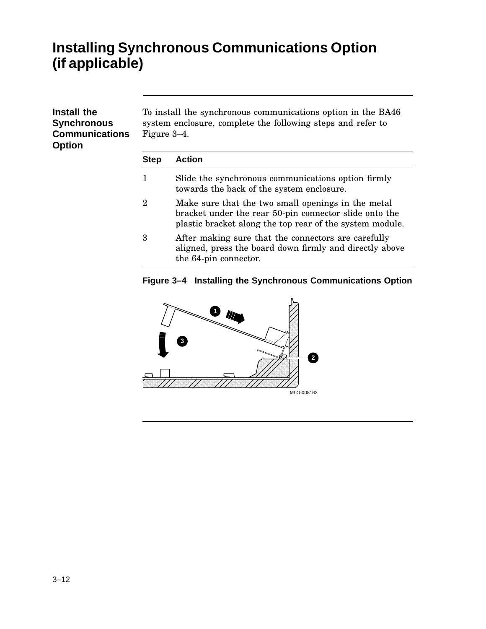#### **Installing Synchronous Communications Option (if applicable)**

| Install the<br><b>Synchronous</b><br><b>Communications</b><br><b>Option</b> | To install the synchronous communications option in the BA46<br>system enclosure, complete the following steps and refer to<br>Figure 3–4. |                                                                                                                                |  |  |  |
|-----------------------------------------------------------------------------|--------------------------------------------------------------------------------------------------------------------------------------------|--------------------------------------------------------------------------------------------------------------------------------|--|--|--|
|                                                                             | <b>Step</b>                                                                                                                                | <b>Action</b>                                                                                                                  |  |  |  |
|                                                                             | 1                                                                                                                                          | Slide the synchronous communications option firmly<br>towards the back of the system enclosure.                                |  |  |  |
|                                                                             | $\overline{2}$                                                                                                                             | Make sure that the two small openings in the metal<br>$_{b}$ and $_{c}$ and $_{c}$ the mean $50$ pin expression alide entables |  |  |  |

- bracket under the rear 50-pin connector slide onto the plastic bracket along the top rear of the system module.
- 3 After making sure that the connectors are carefully aligned, press the board down firmly and directly above the 64-pin connector.

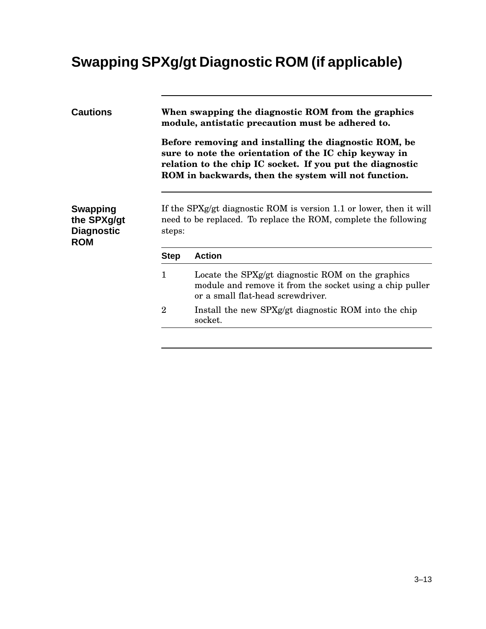# **Swapping SPXg/gt Diagnostic ROM (if applicable)**

| Before removing and installing the diagnostic ROM, be<br>sure to note the orientation of the IC chip keyway in<br>relation to the chip IC socket. If you put the diagnostic<br>ROM in backwards, then the system will not function. |  |  |  |  |
|-------------------------------------------------------------------------------------------------------------------------------------------------------------------------------------------------------------------------------------|--|--|--|--|
| If the SPXg/gt diagnostic ROM is version 1.1 or lower, then it will<br>need to be replaced. To replace the ROM, complete the following<br>steps:                                                                                    |  |  |  |  |
|                                                                                                                                                                                                                                     |  |  |  |  |
| Locate the SPXg/gt diagnostic ROM on the graphics<br>module and remove it from the socket using a chip puller                                                                                                                       |  |  |  |  |
| Install the new SPXg/gt diagnostic ROM into the chip                                                                                                                                                                                |  |  |  |  |
|                                                                                                                                                                                                                                     |  |  |  |  |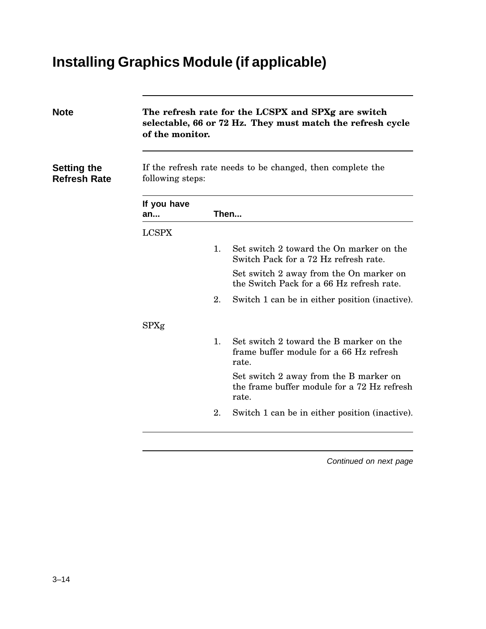# **Installing Graphics Module (if applicable)**

| <b>Note</b>                               | The refresh rate for the LCSPX and SPXg are switch<br>selectable, 66 or 72 Hz. They must match the refresh cycle<br>of the monitor.<br>If the refresh rate needs to be changed, then complete the<br>following steps: |    |                                                                                                |  |
|-------------------------------------------|-----------------------------------------------------------------------------------------------------------------------------------------------------------------------------------------------------------------------|----|------------------------------------------------------------------------------------------------|--|
| <b>Setting the</b><br><b>Refresh Rate</b> |                                                                                                                                                                                                                       |    |                                                                                                |  |
|                                           | If you have<br>Then<br>an                                                                                                                                                                                             |    |                                                                                                |  |
|                                           | <b>LCSPX</b>                                                                                                                                                                                                          |    |                                                                                                |  |
|                                           |                                                                                                                                                                                                                       | 1. | Set switch 2 toward the On marker on the<br>Switch Pack for a 72 Hz refresh rate.              |  |
|                                           |                                                                                                                                                                                                                       |    | Set switch 2 away from the On marker on<br>the Switch Pack for a 66 Hz refresh rate.           |  |
|                                           |                                                                                                                                                                                                                       | 2. | Switch 1 can be in either position (inactive).                                                 |  |
|                                           | SPXg                                                                                                                                                                                                                  |    |                                                                                                |  |
|                                           |                                                                                                                                                                                                                       | 1. | Set switch 2 toward the B marker on the<br>frame buffer module for a 66 Hz refresh<br>rate.    |  |
|                                           |                                                                                                                                                                                                                       |    | Set switch 2 away from the B marker on<br>the frame buffer module for a 72 Hz refresh<br>rate. |  |
|                                           |                                                                                                                                                                                                                       | 2. | Switch 1 can be in either position (inactive).                                                 |  |
|                                           |                                                                                                                                                                                                                       |    |                                                                                                |  |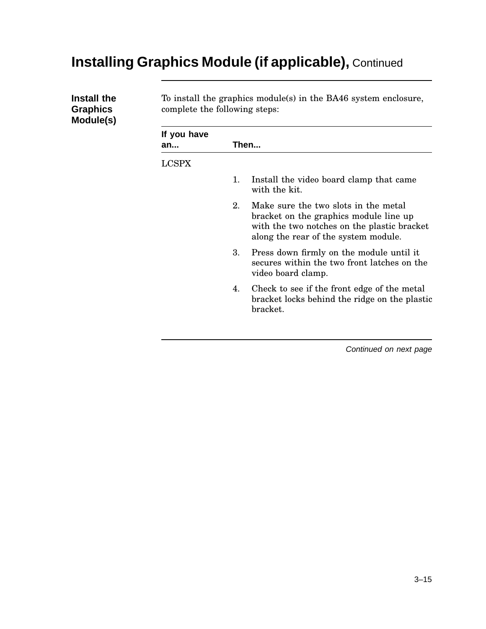## **Installing Graphics Module (if applicable),** Continued

| Install the<br><b>Graphics</b><br>Module(s) | To install the graphics module(s) in the BA46 system enclosure,<br>complete the following steps: |    |                                                                                                                                                                       |  |  |
|---------------------------------------------|--------------------------------------------------------------------------------------------------|----|-----------------------------------------------------------------------------------------------------------------------------------------------------------------------|--|--|
|                                             | If you have<br>an                                                                                |    | Then                                                                                                                                                                  |  |  |
|                                             | <b>LCSPX</b>                                                                                     |    |                                                                                                                                                                       |  |  |
|                                             |                                                                                                  | 1. | Install the video board clamp that came<br>with the kit.                                                                                                              |  |  |
|                                             |                                                                                                  | 2. | Make sure the two slots in the metal<br>bracket on the graphics module line up<br>with the two notches on the plastic bracket<br>along the rear of the system module. |  |  |
|                                             |                                                                                                  | 3. | Press down firmly on the module until it<br>secures within the two front latches on the<br>video board clamp.                                                         |  |  |
|                                             |                                                                                                  | 4. | Check to see if the front edge of the metal<br>bracket locks behind the ridge on the plastic<br>bracket.                                                              |  |  |
|                                             |                                                                                                  |    |                                                                                                                                                                       |  |  |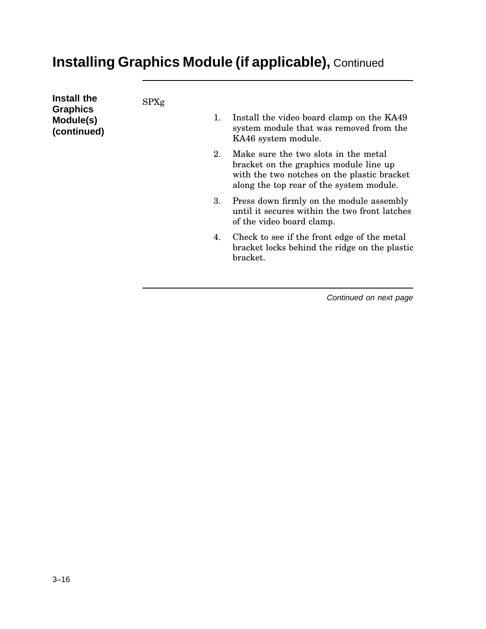## **Installing Graphics Module (if applicable),** Continued

| Install the<br><b>Graphics</b><br>Module(s)<br>(continued) | SPXg | 1. | Install the video board clamp on the KA49<br>system module that was removed from the<br>KA46 system module.                                                               |
|------------------------------------------------------------|------|----|---------------------------------------------------------------------------------------------------------------------------------------------------------------------------|
|                                                            |      | 2. | Make sure the two slots in the metal<br>bracket on the graphics module line up<br>with the two notches on the plastic bracket<br>along the top rear of the system module. |
|                                                            |      | 3. | Press down firmly on the module assembly<br>until it secures within the two front latches<br>of the video board clamp.                                                    |
|                                                            |      | 4. | Check to see if the front edge of the metal<br>bracket locks behind the ridge on the plastic<br>bracket.                                                                  |
|                                                            |      |    |                                                                                                                                                                           |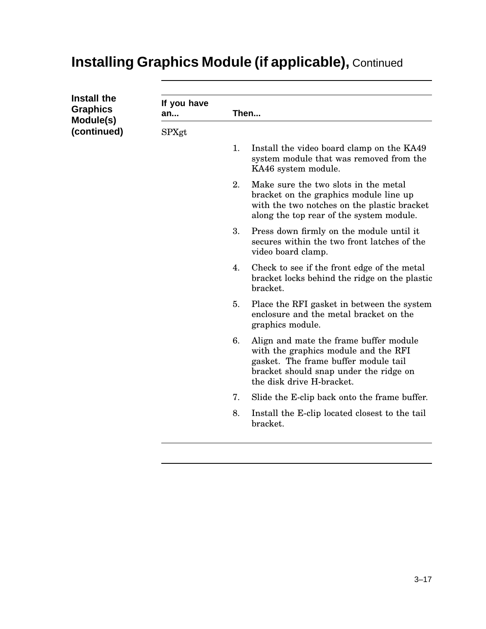# **Installing Graphics Module (if applicable),** Continued

| Install the<br><b>Graphics</b><br>Module(s) | If you have<br>an |    | Then                                                                                                                                                                                          |  |  |
|---------------------------------------------|-------------------|----|-----------------------------------------------------------------------------------------------------------------------------------------------------------------------------------------------|--|--|
| (continued)                                 | SPXgt             |    |                                                                                                                                                                                               |  |  |
|                                             |                   | 1. | Install the video board clamp on the KA49<br>system module that was removed from the<br>KA46 system module.                                                                                   |  |  |
|                                             |                   | 2. | Make sure the two slots in the metal<br>bracket on the graphics module line up<br>with the two notches on the plastic bracket<br>along the top rear of the system module.                     |  |  |
|                                             |                   | 3. | Press down firmly on the module until it<br>secures within the two front latches of the<br>video board clamp.                                                                                 |  |  |
|                                             |                   | 4. | Check to see if the front edge of the metal<br>bracket locks behind the ridge on the plastic<br>bracket.                                                                                      |  |  |
|                                             |                   | 5. | Place the RFI gasket in between the system<br>enclosure and the metal bracket on the<br>graphics module.                                                                                      |  |  |
|                                             |                   | 6. | Align and mate the frame buffer module<br>with the graphics module and the RFI<br>gasket. The frame buffer module tail<br>bracket should snap under the ridge on<br>the disk drive H-bracket. |  |  |
|                                             |                   | 7. | Slide the E-clip back onto the frame buffer.                                                                                                                                                  |  |  |
|                                             |                   | 8. | Install the E-clip located closest to the tail<br>bracket.                                                                                                                                    |  |  |
|                                             |                   |    |                                                                                                                                                                                               |  |  |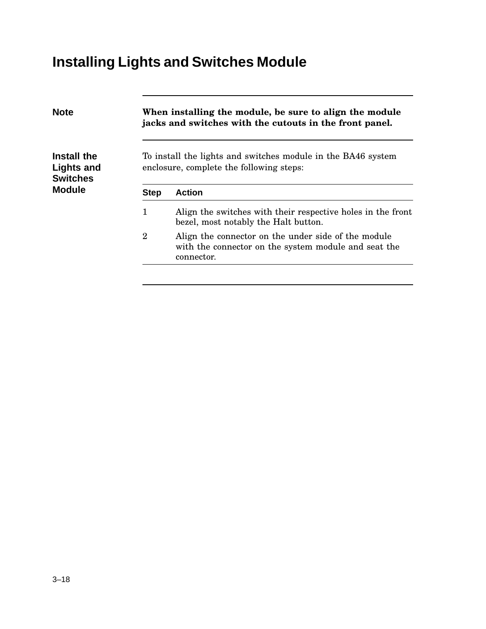# **Installing Lights and Switches Module**

| When installing the module, be sure to align the module<br>jacks and switches with the cutouts in the front panel. |                                                                                                                           |  |  |  |  |
|--------------------------------------------------------------------------------------------------------------------|---------------------------------------------------------------------------------------------------------------------------|--|--|--|--|
|                                                                                                                    | To install the lights and switches module in the BA46 system<br>enclosure, complete the following steps:                  |  |  |  |  |
| <b>Step</b>                                                                                                        | <b>Action</b>                                                                                                             |  |  |  |  |
| 1                                                                                                                  | Align the switches with their respective holes in the front<br>bezel, most notably the Halt button.                       |  |  |  |  |
| $\overline{2}$                                                                                                     | Align the connector on the under side of the module<br>with the connector on the system module and seat the<br>connector. |  |  |  |  |
|                                                                                                                    |                                                                                                                           |  |  |  |  |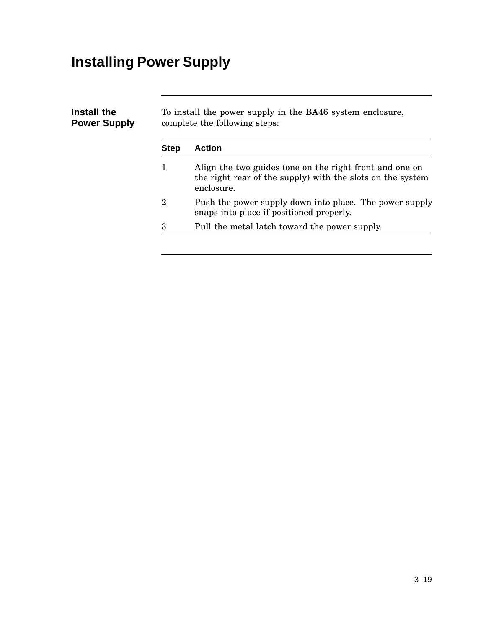# **Installing Power Supply**

| Install the<br><b>Power Supply</b> | To install the power supply in the BA46 system enclosure,<br>complete the following steps: |                                                                                                                                     |  |  |  |
|------------------------------------|--------------------------------------------------------------------------------------------|-------------------------------------------------------------------------------------------------------------------------------------|--|--|--|
|                                    | <b>Step</b>                                                                                | <b>Action</b>                                                                                                                       |  |  |  |
|                                    | 1                                                                                          | Align the two guides (one on the right front and one on<br>the right rear of the supply) with the slots on the system<br>enclosure. |  |  |  |
|                                    | $\overline{2}$                                                                             | Push the power supply down into place. The power supply<br>snaps into place if positioned properly.                                 |  |  |  |
|                                    | 3                                                                                          | Pull the metal latch toward the power supply.                                                                                       |  |  |  |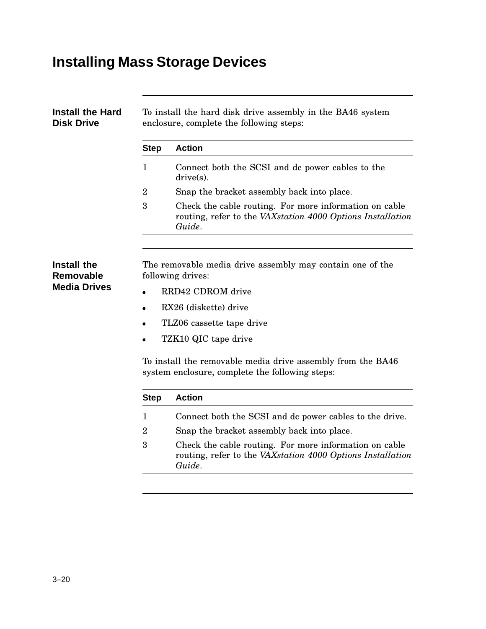# **Installing Mass Storage Devices**

| Install the Hard<br><b>Disk Drive</b>                  | To install the hard disk drive assembly in the BA46 system<br>enclosure, complete the following steps:                              |                                                                                                                                |  |  |  |
|--------------------------------------------------------|-------------------------------------------------------------------------------------------------------------------------------------|--------------------------------------------------------------------------------------------------------------------------------|--|--|--|
|                                                        | <b>Step</b>                                                                                                                         | <b>Action</b>                                                                                                                  |  |  |  |
|                                                        | 1                                                                                                                                   | Connect both the SCSI and dc power cables to the<br>$drive(s)$ .                                                               |  |  |  |
|                                                        | $\overline{2}$                                                                                                                      | Snap the bracket assembly back into place.                                                                                     |  |  |  |
|                                                        | 3<br>Check the cable routing. For more information on cable<br>routing, refer to the VAXstation 4000 Options Installation<br>Guide. |                                                                                                                                |  |  |  |
|                                                        |                                                                                                                                     |                                                                                                                                |  |  |  |
| Install the<br><b>Removable</b><br><b>Media Drives</b> | The removable media drive assembly may contain one of the<br>following drives:                                                      |                                                                                                                                |  |  |  |
|                                                        | RRD42 CDROM drive<br>$\bullet$                                                                                                      |                                                                                                                                |  |  |  |
|                                                        | RX26 (diskette) drive                                                                                                               |                                                                                                                                |  |  |  |
|                                                        | TLZ06 cassette tape drive                                                                                                           |                                                                                                                                |  |  |  |
|                                                        | TZK10 QIC tape drive                                                                                                                |                                                                                                                                |  |  |  |
|                                                        | To install the removable media drive assembly from the BA46<br>system enclosure, complete the following steps:                      |                                                                                                                                |  |  |  |
|                                                        | <b>Step</b>                                                                                                                         | <b>Action</b>                                                                                                                  |  |  |  |
|                                                        | $\mathbf 1$                                                                                                                         | Connect both the SCSI and dc power cables to the drive.                                                                        |  |  |  |
|                                                        | $\overline{2}$                                                                                                                      | Snap the bracket assembly back into place.                                                                                     |  |  |  |
|                                                        | 3                                                                                                                                   | Check the cable routing. For more information on cable<br>routing, refer to the VAXstation 4000 Options Installation<br>Guide. |  |  |  |
|                                                        |                                                                                                                                     |                                                                                                                                |  |  |  |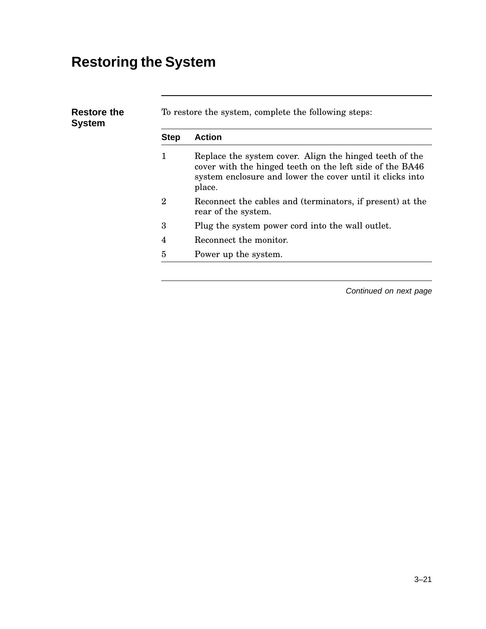# **Restoring the System**

|  | <b>Step</b>  | <b>Action</b>                                                                                                                                                                              |
|--|--------------|--------------------------------------------------------------------------------------------------------------------------------------------------------------------------------------------|
|  | 1            | Replace the system cover. Align the hinged teeth of the<br>cover with the hinged teeth on the left side of the BA46<br>system enclosure and lower the cover until it clicks into<br>place. |
|  | $\mathbf{2}$ | Reconnect the cables and (terminators, if present) at the<br>rear of the system.                                                                                                           |
|  | 3            | Plug the system power cord into the wall outlet.                                                                                                                                           |
|  | 4            | Reconnect the monitor.                                                                                                                                                                     |
|  | 5            | Power up the system.                                                                                                                                                                       |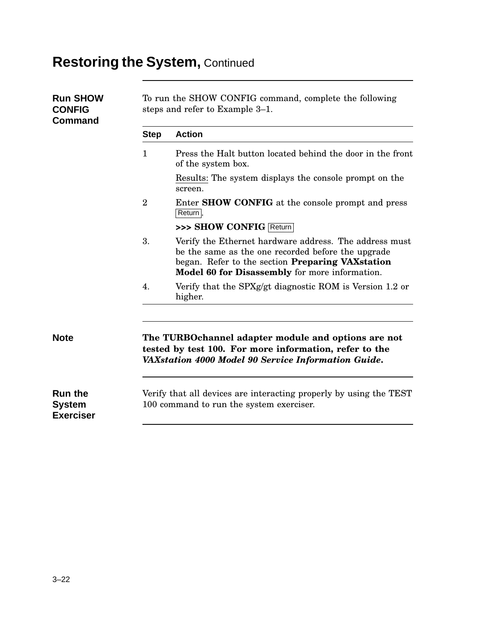# **Restoring the System,** Continued

| <b>Run SHOW</b><br><b>CONFIG</b><br><b>Command</b>  | To run the SHOW CONFIG command, complete the following<br>steps and refer to Example 3–1. |                                                                                                                                                                                                                            |  |
|-----------------------------------------------------|-------------------------------------------------------------------------------------------|----------------------------------------------------------------------------------------------------------------------------------------------------------------------------------------------------------------------------|--|
|                                                     | <b>Step</b>                                                                               | <b>Action</b>                                                                                                                                                                                                              |  |
|                                                     | $\mathbf{1}$                                                                              | Press the Halt button located behind the door in the front<br>of the system box.                                                                                                                                           |  |
|                                                     |                                                                                           | Results: The system displays the console prompt on the<br>screen.                                                                                                                                                          |  |
|                                                     | $\overline{2}$                                                                            | Enter <b>SHOW CONFIG</b> at the console prompt and press<br>Return.                                                                                                                                                        |  |
|                                                     |                                                                                           | >>> SHOW CONFIG Return                                                                                                                                                                                                     |  |
|                                                     | 3.                                                                                        | Verify the Ethernet hardware address. The address must<br>be the same as the one recorded before the upgrade<br>began. Refer to the section <b>Preparing VAX</b> station<br>Model 60 for Disassembly for more information. |  |
|                                                     | 4.                                                                                        | Verify that the SPXg/gt diagnostic ROM is Version 1.2 or<br>higher.                                                                                                                                                        |  |
| <b>Note</b>                                         |                                                                                           | The TURBOchannel adapter module and options are not                                                                                                                                                                        |  |
|                                                     |                                                                                           | tested by test 100. For more information, refer to the<br>VAXstation 4000 Model 90 Service Information Guide.                                                                                                              |  |
| <b>Run the</b><br><b>System</b><br><b>Exerciser</b> |                                                                                           | Verify that all devices are interacting properly by using the TEST<br>100 command to run the system exerciser.                                                                                                             |  |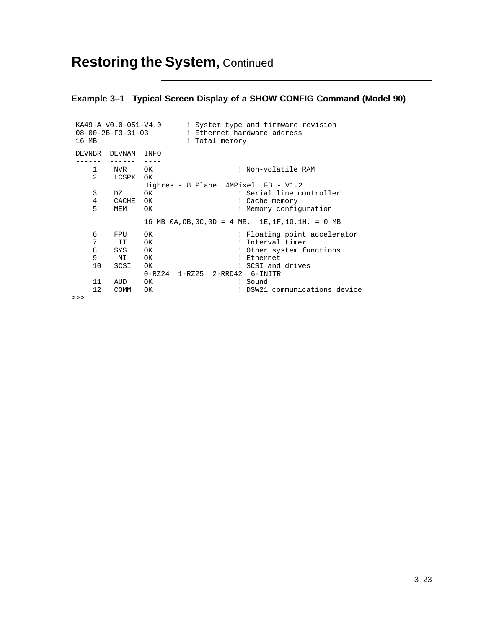#### **Example 3–1 Typical Screen Display of a SHOW CONFIG Command (Model 90)**

| 16 MB          |               | KA49-A VO.0-051-V4.0<br>! System type and firmware revision<br>! Total memory |
|----------------|---------------|-------------------------------------------------------------------------------|
|                | DEVNBR DEVNAM | INFO                                                                          |
|                |               |                                                                               |
| 1              | NVR           | ! Non-volatile RAM<br>OK                                                      |
| $\overline{2}$ | LCSPX OK      |                                                                               |
|                |               | Highres - 8 Plane 4MPixel FB - V1.2                                           |
| 3              | DZ            | ! Serial line controller<br>OK.                                               |
| 4              | CACHE         | OK<br>! Cache memory                                                          |
| 5              | MEM           | ! Memory configuration<br>OK                                                  |
|                |               | 16 MB $0A$ , $OB$ , $OC$ , $OD = 4$ MB, $1E$ , $1F$ , $1G$ , $1H$ , = 0 MB    |
| 6              | FPU           | ! Floating point accelerator<br><b>OK</b>                                     |
| 7              | IT T          | ! Interval timer<br><b>OK</b>                                                 |
| 8              | SYS           | <b>OK</b><br>! Other system functions                                         |
| 9              | NI            | ! Ethernet<br><b>OK</b>                                                       |
| 10             | SCSI          | ! SCSI and drives<br><b>OK</b>                                                |
|                |               | 0-RZ24 1-RZ25 2-RRD42 6-INITR                                                 |
| 11             | AUD           | OK.<br>! Sound                                                                |
| 12             | <b>COMM</b>   | ! DSW21 communications device<br>OK                                           |
|                |               |                                                                               |

>>>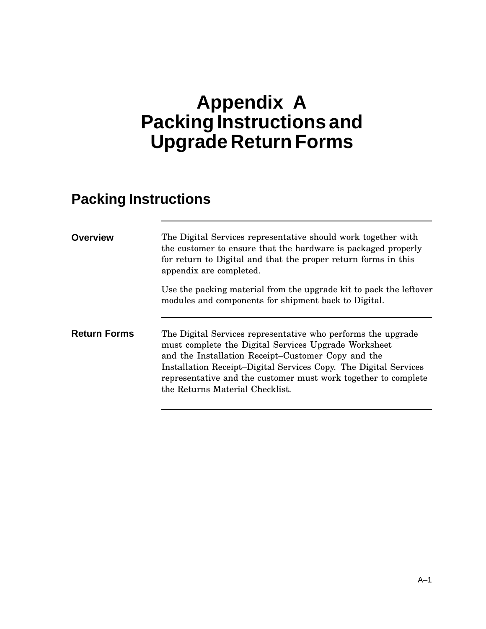# **Appendix A Packing Instructions and Upgrade Return Forms**

#### **Packing Instructions**

| <b>Overview</b>     | The Digital Services representative should work together with<br>the customer to ensure that the hardware is packaged properly<br>for return to Digital and that the proper return forms in this<br>appendix are completed.                                                                                                                         |
|---------------------|-----------------------------------------------------------------------------------------------------------------------------------------------------------------------------------------------------------------------------------------------------------------------------------------------------------------------------------------------------|
|                     | Use the packing material from the upgrade kit to pack the leftover<br>modules and components for shipment back to Digital.                                                                                                                                                                                                                          |
| <b>Return Forms</b> | The Digital Services representative who performs the upgrade<br>must complete the Digital Services Upgrade Worksheet<br>and the Installation Receipt–Customer Copy and the<br>Installation Receipt-Digital Services Copy. The Digital Services<br>representative and the customer must work together to complete<br>the Returns Material Checklist. |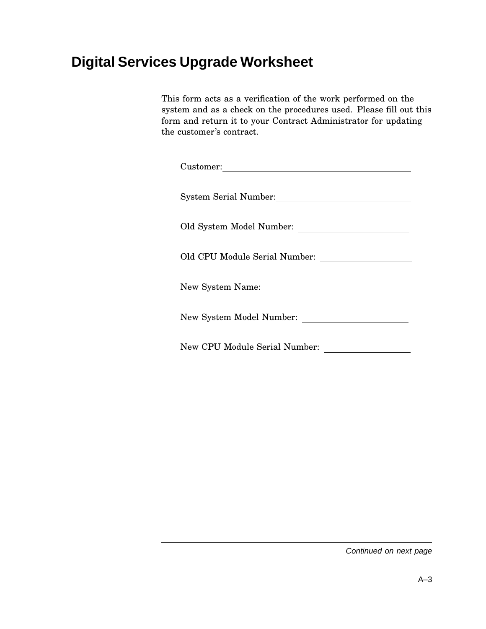#### **Digital Services Upgrade Worksheet**

This form acts as a verification of the work performed on the system and as a check on the procedures used. Please fill out this form and return it to your Contract Administrator for updating the customer's contract.

| Customer:                     |  |
|-------------------------------|--|
| <b>System Serial Number:</b>  |  |
|                               |  |
| Old CPU Module Serial Number: |  |
| New System Name:              |  |
| New System Model Number:      |  |
| New CPU Module Serial Number: |  |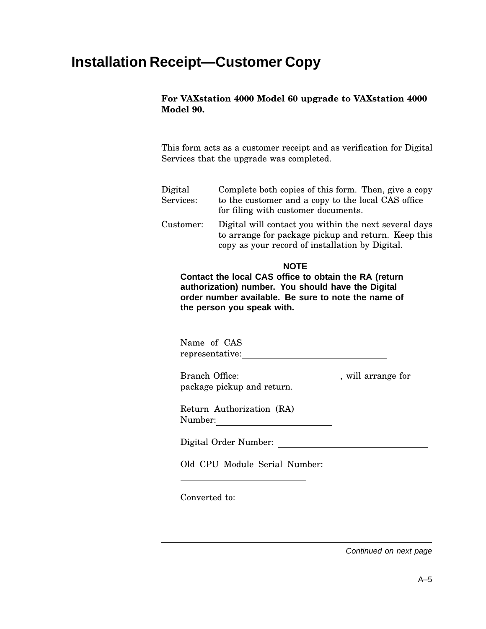#### **Installation Receipt—Customer Copy**

#### **For VAXstation 4000 Model 60 upgrade to VAXstation 4000 Model 90.**

This form acts as a customer receipt and as verification for Digital Services that the upgrade was completed.

| Digital   | Complete both copies of this form. Then, give a copy                                                         |
|-----------|--------------------------------------------------------------------------------------------------------------|
| Services: | to the customer and a copy to the local CAS office<br>for filing with customer documents.                    |
| Customer: | Digital will contact you within the next several days<br>to arrange for package pickup and return. Keep this |

#### **NOTE**

copy as your record of installation by Digital.

**Contact the local CAS office to obtain the RA (return authorization) number. You should have the Digital order number available. Be sure to note the name of the person you speak with.**

Name of CAS representative:

Branch Office:<br>  $\begin{array}{ccc}\n&\text{will arrange for}\n\end{array}$ package pickup and return.

Return Authorization (RA) Number:

Digital Order Number:

Old CPU Module Serial Number:

Converted to: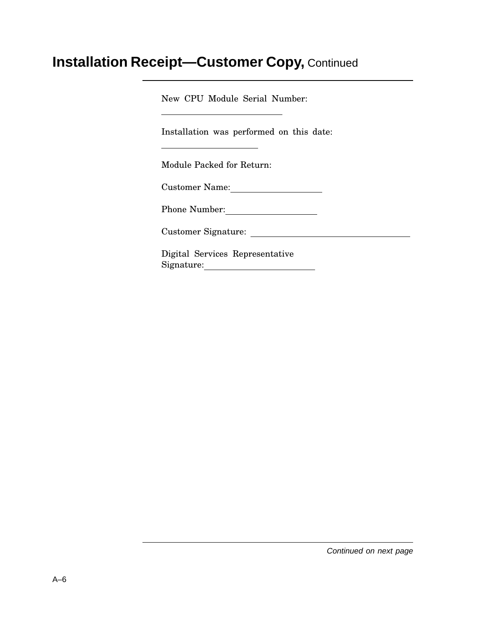#### **Installation Receipt—Customer Copy,** Continued

New CPU Module Serial Number:

Installation was performed on this date:

Module Packed for Return:

Customer Name:

Phone Number:

Customer Signature:

Digital Services Representative Signature: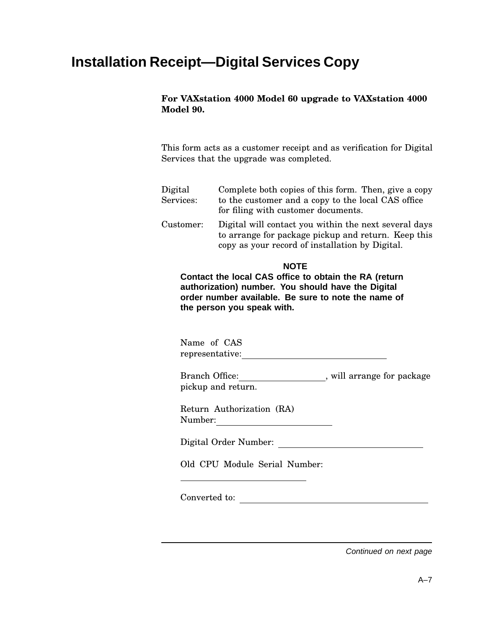# **Installation Receipt—Digital Services Copy**

#### **For VAXstation 4000 Model 60 upgrade to VAXstation 4000 Model 90.**

This form acts as a customer receipt and as verification for Digital Services that the upgrade was completed.

Digital Services: Complete both copies of this form. Then, give a copy to the customer and a copy to the local CAS office for filing with customer documents. Customer: Digital will contact you within the next several days to arrange for package pickup and return. Keep this

#### **NOTE**

copy as your record of installation by Digital.

**Contact the local CAS office to obtain the RA (return authorization) number. You should have the Digital order number available. Be sure to note the name of the person you speak with.**

Name of CAS representative:

Branch Office:<br>\_\_\_\_\_\_\_\_\_\_\_\_\_\_\_\_\_\_\_\_\_\_, will arrange for package pickup and return.

Return Authorization (RA) Number:

Digital Order Number:

Old CPU Module Serial Number:

Converted to: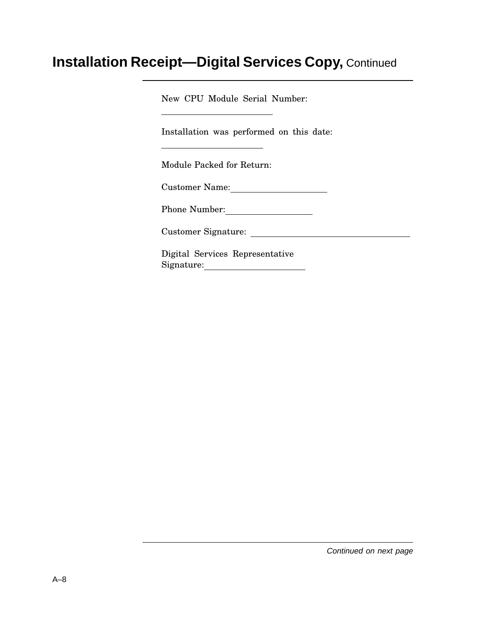# **Installation Receipt—Digital Services Copy,** Continued

New CPU Module Serial Number:

Installation was performed on this date:

Module Packed for Return:

Customer Name:

Phone Number:

Customer Signature:

Digital Services Representative Signature: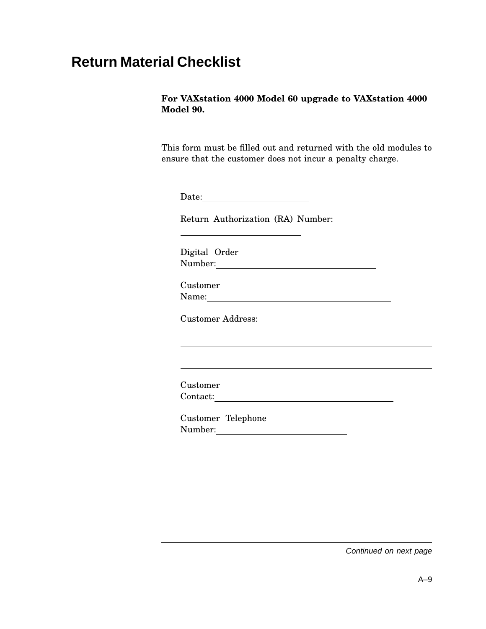# **Return Material Checklist**

#### **For VAXstation 4000 Model 60 upgrade to VAXstation 4000 Model 90.**

This form must be filled out and returned with the old modules to ensure that the customer does not incur a penalty charge.

Date: **Date:** 

Return Authorization (RA) Number:

Digital Order Number: Number:

Customer Name:

Customer Address:

Customer Contact:

Customer Telephone Number: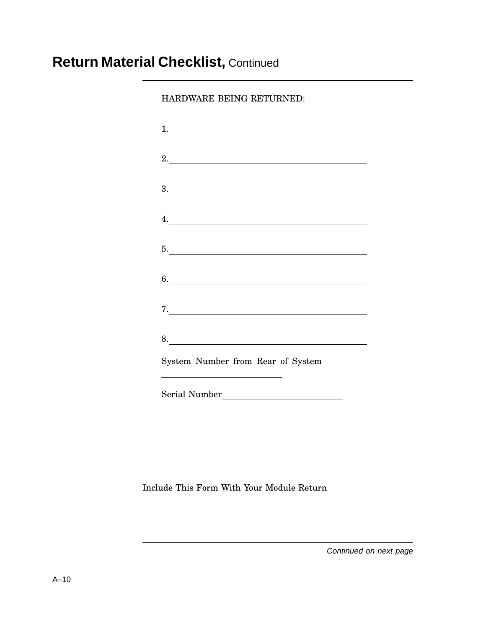# **Return Material Checklist,** Continued

HARDWARE BEING RETURNED:

| 2.                                |  |  |
|-----------------------------------|--|--|
|                                   |  |  |
|                                   |  |  |
|                                   |  |  |
| 4.                                |  |  |
|                                   |  |  |
|                                   |  |  |
|                                   |  |  |
|                                   |  |  |
|                                   |  |  |
|                                   |  |  |
| 8.                                |  |  |
| System Number from Rear of System |  |  |
|                                   |  |  |
|                                   |  |  |
|                                   |  |  |

Include This Form With Your Module Return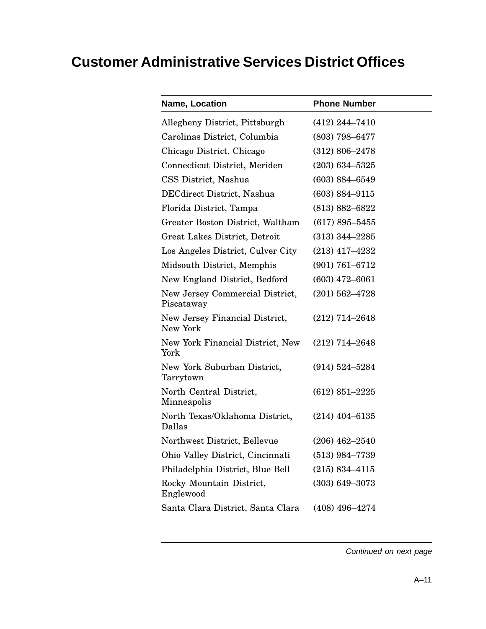# **Customer Administrative Services District Offices**

| Name, Location                                | <b>Phone Number</b> |
|-----------------------------------------------|---------------------|
| Allegheny District, Pittsburgh                | $(412)$ 244-7410    |
| Carolinas District, Columbia                  | $(803)$ 798-6477    |
| Chicago District, Chicago                     | $(312) 806 - 2478$  |
| Connecticut District, Meriden                 | $(203)$ 634-5325    |
| CSS District, Nashua                          | $(603) 884 - 6549$  |
| DECdirect District, Nashua                    | $(603) 884 - 9115$  |
| Florida District, Tampa                       | $(813) 882 - 6822$  |
| Greater Boston District, Waltham              | $(617) 895 - 5455$  |
| Great Lakes District, Detroit                 | $(313)$ 344–2285    |
| Los Angeles District, Culver City             | $(213)$ 417-4232    |
| Midsouth District, Memphis                    | $(901) 761 - 6712$  |
| New England District, Bedford                 | $(603)$ 472-6061    |
| New Jersey Commercial District,<br>Piscataway | $(201) 562 - 4728$  |
| New Jersey Financial District,<br>New York    | $(212)$ 714–2648    |
| New York Financial District, New<br>York      | $(212)$ 714-2648    |
| New York Suburban District,<br>Tarrytown      | $(914) 524 - 5284$  |
| North Central District,<br>Minneapolis        | $(612) 851 - 2225$  |
| North Texas/Oklahoma District,<br>Dallas      | $(214)$ 404-6135    |
| Northwest District, Bellevue                  | $(206)$ 462-2540    |
| Ohio Valley District, Cincinnati              | $(513)$ 984-7739    |
| Philadelphia District, Blue Bell              | $(215) 834 - 4115$  |
| Rocky Mountain District,<br>Englewood         | $(303) 649 - 3073$  |
| Santa Clara District, Santa Clara             | $(408)$ 496-4274    |
|                                               |                     |

Continued on next page

 $\overline{\phantom{a}}$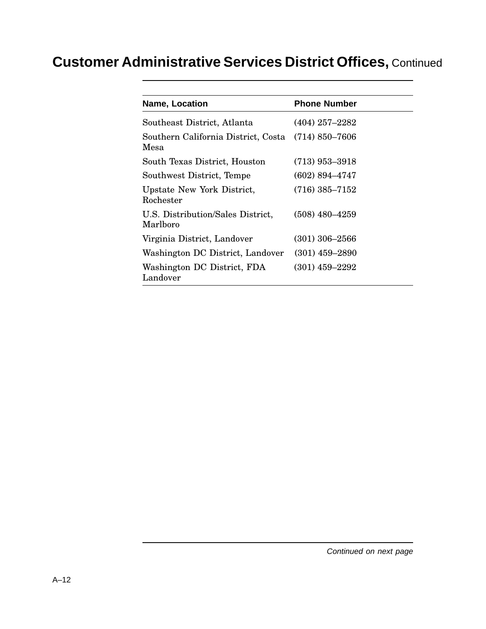# **Customer Administrative Services District Offices,** Continued

| Name, Location                                | <b>Phone Number</b> |
|-----------------------------------------------|---------------------|
| Southeast District, Atlanta                   | $(404)$ 257-2282    |
| Southern California District, Costa<br>Mesa   | $(714) 850 - 7606$  |
| South Texas District, Houston                 | $(713)$ 953–3918    |
| Southwest District, Tempe                     | $(602) 894 - 4747$  |
| Upstate New York District,<br>Rochester       | $(716) 385 - 7152$  |
| U.S. Distribution/Sales District,<br>Marlboro | $(508)$ 480-4259    |
| Virginia District, Landover                   | $(301)$ 306-2566    |
| Washington DC District, Landover              | $(301)$ 459-2890    |
| Washington DC District, FDA<br>Landover       | $(301)$ 459-2292    |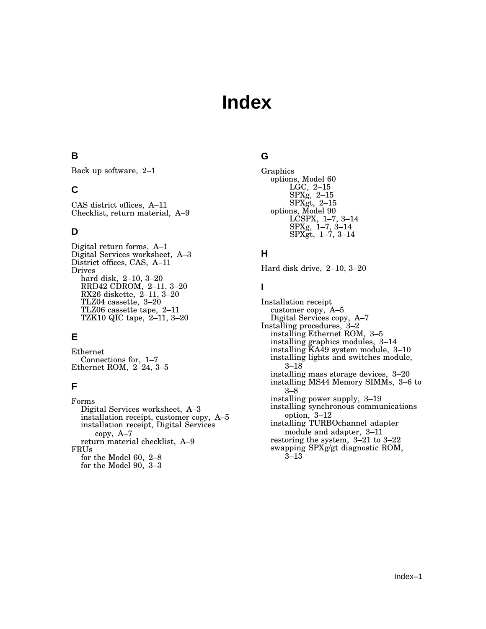# **Index**

### **B**

Back up software, 2–1

## **C**

CAS district offices, A–11 Checklist, return material, A–9

## **D**

Digital return forms, A–1 Digital Services worksheet, A–3 District offices, CAS, A–11 Drives hard disk, 2–10, 3–20 RRD42 CDROM, 2–11, 3–20 RX26 diskette, 2–11, 3–20 TLZ04 cassette, 3–20 TLZ06 cassette tape, 2–11 TZK10 QIC tape, 2–11, 3–20

# **E**

Ethernet Connections for, 1–7 Ethernet ROM, 2–24, 3–5

# **F**

Forms Digital Services worksheet, A–3 installation receipt, customer copy, A–5 installation receipt, Digital Services copy, A–7 return material checklist, A–9 FRUs for the Model 60, 2–8 for the Model 90, 3–3

# **G**

```
Graphics
options, Model 60
     LGC, 2–15
     SPXg, 2–15
     SPXgt, 2–15
options, Model 90
     LCSPX, 1–7, 3–14
     SPXg, 1–7, 3–14
     SPXgt, 1–7, 3–14
```
## **H**

Hard disk drive, 2–10, 3–20

# **I**

Installation receipt customer copy, A–5 Digital Services copy, A–7 Installing procedures, 3–2 installing Ethernet ROM, 3–5 installing graphics modules, 3–14 installing KA49 system module, 3–10 installing lights and switches module, 3–18 installing mass storage devices, 3–20 installing MS44 Memory SIMMs, 3–6 to 3–8 installing power supply, 3–19 installing synchronous communications option, 3–12 installing TURBOchannel adapter module and adapter, 3–11 restoring the system, 3–21 to 3–22 swapping SPXg/gt diagnostic ROM, 3–13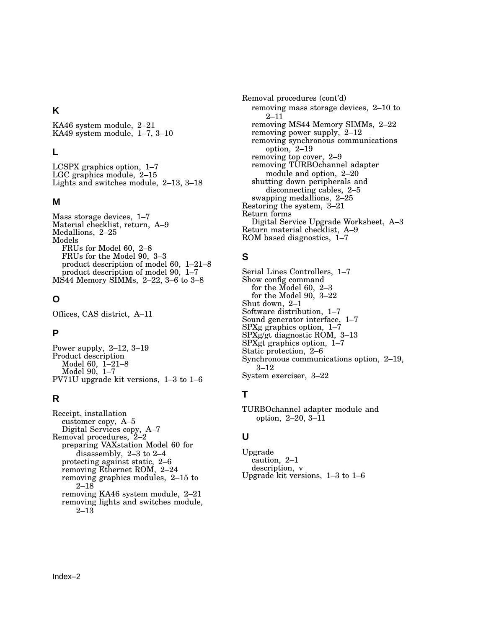#### **K**

KA46 system module, 2–21 KA49 system module, 1–7, 3–10

#### **L**

LCSPX graphics option, 1–7 LGC graphics module, 2-15 Lights and switches module, 2–13, 3–18

#### **M**

Mass storage devices, 1–7 Material checklist, return, A–9 Medallions, 2–25 Models FRUs for Model 60, 2–8 FRUs for the Model 90, 3–3 product description of model 60, 1–21–8 product description of model 90, 1–7 MS44 Memory SIMMs, 2–22, 3–6 to 3–8

## **O**

Offices, CAS district, A–11

### **P**

Power supply, 2–12, 3–19 Product description Model 60, 1–21–8 Model 90, 1–7 PV71U upgrade kit versions, 1–3 to 1–6

### **R**

Receipt, installation customer copy, A–5 Digital Services copy, A–7 Removal procedures, 2–2 preparing VAXstation Model 60 for disassembly, 2–3 to 2–4 protecting against static, 2–6 removing Ethernet ROM, 2–24 removing graphics modules, 2–15 to 2–18 removing KA46 system module, 2–21 removing lights and switches module, 2–13

Removal procedures (cont'd) removing mass storage devices, 2–10 to 2–11 removing MS44 Memory SIMMs, 2–22 removing power supply, 2–12 removing synchronous communications option, 2–19 removing top cover, 2–9 removing TURBOchannel adapter module and option, 2–20 shutting down peripherals and disconnecting cables, 2–5 swapping medallions, 2–25 Restoring the system, 3–21 Return forms Digital Service Upgrade Worksheet, A–3 Return material checklist, A–9 ROM based diagnostics, 1–7

# **S**

Serial Lines Controllers, 1–7 Show config command for the Model 60, 2–3 for the Model 90, 3–22 Shut down, 2–1 Software distribution, 1–7 Sound generator interface, 1–7 SPXg graphics option, 1–7 SPXg/gt diagnostic ROM, 3–13 SPXgt graphics option, 1–7 Static protection, 2–6 Synchronous communications option, 2–19, 3–12 System exerciser, 3–22

# **T**

TURBOchannel adapter module and option, 2–20, 3–11

### **U**

Upgrade caution, 2–1 description, v Upgrade kit versions, 1–3 to 1–6